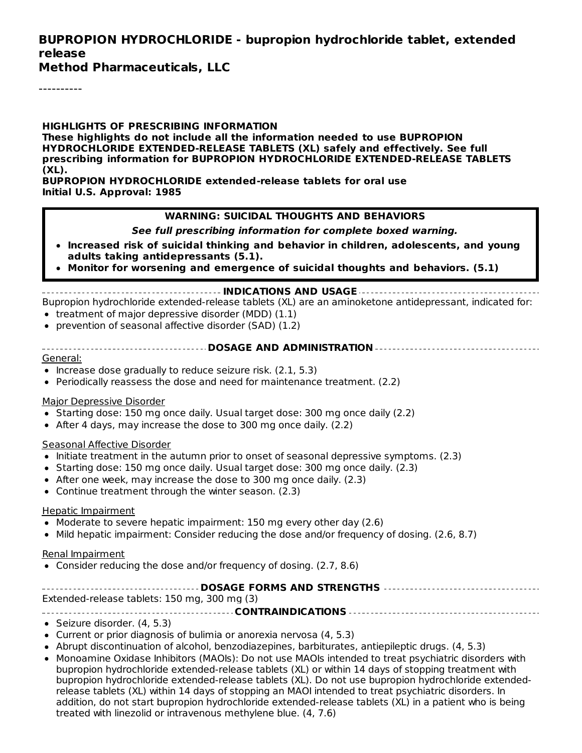#### **BUPROPION HYDROCHLORIDE - bupropion hydrochloride tablet, extended release**

**Method Pharmaceuticals, LLC**

----------

**HIGHLIGHTS OF PRESCRIBING INFORMATION These highlights do not include all the information needed to use BUPROPION HYDROCHLORIDE EXTENDED-RELEASE TABLETS (XL) safely and effectively. See full prescribing information for BUPROPION HYDROCHLORIDE EXTENDED-RELEASE TABLETS (XL).**

**BUPROPION HYDROCHLORIDE extended-release tablets for oral use Initial U.S. Approval: 1985**

#### **WARNING: SUICIDAL THOUGHTS AND BEHAVIORS**

**See full prescribing information for complete boxed warning.**

- **Increased risk of suicidal thinking and behavior in children, adolescents, and young adults taking antidepressants (5.1).**
- **Monitor for worsening and emergence of suicidal thoughts and behaviors. (5.1)**

#### **INDICATIONS AND USAGE**

Bupropion hydrochloride extended-release tablets (XL) are an aminoketone antidepressant, indicated for:  $\bullet$  treatment of major depressive disorder (MDD) (1.1)

- prevention of seasonal affective disorder (SAD) (1.2)
- 
- **DOSAGE AND ADMINISTRATION**

#### General:

- $\bullet$  Increase dose gradually to reduce seizure risk. (2.1, 5.3)
- Periodically reassess the dose and need for maintenance treatment. (2.2)

#### Major Depressive Disorder

- Starting dose: 150 mg once daily. Usual target dose: 300 mg once daily (2.2)
- After 4 days, may increase the dose to 300 mg once daily. (2.2)

#### Seasonal Affective Disorder

- Initiate treatment in the autumn prior to onset of seasonal depressive symptoms. (2.3)
- Starting dose: 150 mg once daily. Usual target dose: 300 mg once daily. (2.3)
- After one week, may increase the dose to 300 mg once daily. (2.3)
- Continue treatment through the winter season. (2.3)

#### Hepatic Impairment

- Moderate to severe hepatic impairment: 150 mg every other day (2.6)
- Mild hepatic impairment: Consider reducing the dose and/or frequency of dosing. (2.6, 8.7)

#### Renal Impairment

Consider reducing the dose and/or frequency of dosing. (2.7, 8.6)

| Extended-release tablets: 150 mg, 300 mg (3) |
|----------------------------------------------|

**CONTRAINDICATIONS**

- Seizure disorder. (4, 5.3)
- Current or prior diagnosis of bulimia or anorexia nervosa (4, 5.3)
- Abrupt discontinuation of alcohol, benzodiazepines, barbiturates, antiepileptic drugs. (4, 5.3)
- Monoamine Oxidase Inhibitors (MAOIs): Do not use MAOIs intended to treat psychiatric disorders with bupropion hydrochloride extended-release tablets (XL) or within 14 days of stopping treatment with bupropion hydrochloride extended-release tablets (XL). Do not use bupropion hydrochloride extendedrelease tablets (XL) within 14 days of stopping an MAOI intended to treat psychiatric disorders. In addition, do not start bupropion hydrochloride extended-release tablets (XL) in a patient who is being treated with linezolid or intravenous methylene blue. (4, 7.6)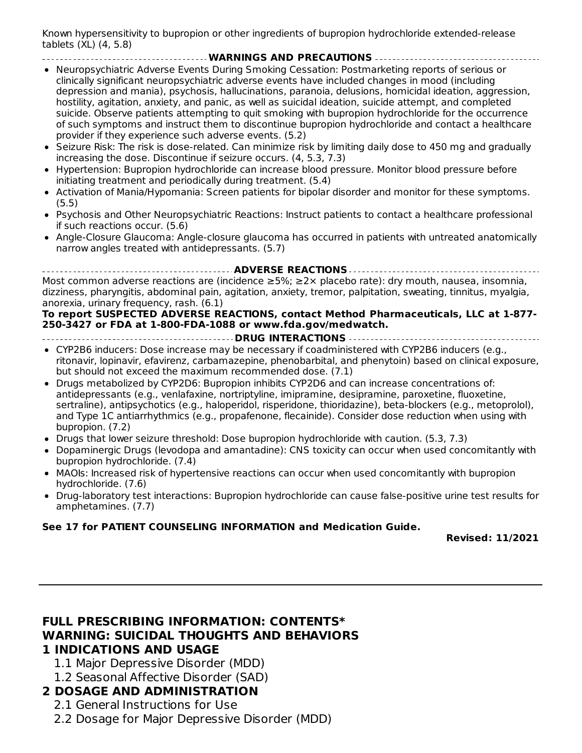Known hypersensitivity to bupropion or other ingredients of bupropion hydrochloride extended-release tablets (XL) (4, 5.8)

**WARNINGS AND PRECAUTIONS**

- Neuropsychiatric Adverse Events During Smoking Cessation: Postmarketing reports of serious or clinically significant neuropsychiatric adverse events have included changes in mood (including depression and mania), psychosis, hallucinations, paranoia, delusions, homicidal ideation, aggression, hostility, agitation, anxiety, and panic, as well as suicidal ideation, suicide attempt, and completed suicide. Observe patients attempting to quit smoking with bupropion hydrochloride for the occurrence of such symptoms and instruct them to discontinue bupropion hydrochloride and contact a healthcare provider if they experience such adverse events. (5.2)
- Seizure Risk: The risk is dose-related. Can minimize risk by limiting daily dose to 450 mg and gradually increasing the dose. Discontinue if seizure occurs. (4, 5.3, 7.3)
- Hypertension: Bupropion hydrochloride can increase blood pressure. Monitor blood pressure before initiating treatment and periodically during treatment. (5.4)
- Activation of Mania/Hypomania: Screen patients for bipolar disorder and monitor for these symptoms.  $\bullet$ (5.5)
- Psychosis and Other Neuropsychiatric Reactions: Instruct patients to contact a healthcare professional if such reactions occur. (5.6)
- Angle-Closure Glaucoma: Angle-closure glaucoma has occurred in patients with untreated anatomically narrow angles treated with antidepressants. (5.7)

**ADVERSE REACTIONS** Most common adverse reactions are (incidence ≥5%; ≥2× placebo rate): dry mouth, nausea, insomnia, dizziness, pharyngitis, abdominal pain, agitation, anxiety, tremor, palpitation, sweating, tinnitus, myalgia, anorexia, urinary frequency, rash. (6.1)

#### **To report SUSPECTED ADVERSE REACTIONS, contact Method Pharmaceuticals, LLC at 1-877- 250-3427 or FDA at 1-800-FDA-1088 or www.fda.gov/medwatch.**

- **DRUG INTERACTIONS**
- CYP2B6 inducers: Dose increase may be necessary if coadministered with CYP2B6 inducers (e.g., ritonavir, lopinavir, efavirenz, carbamazepine, phenobarbital, and phenytoin) based on clinical exposure, but should not exceed the maximum recommended dose. (7.1)
- Drugs metabolized by CYP2D6: Bupropion inhibits CYP2D6 and can increase concentrations of: antidepressants (e.g., venlafaxine, nortriptyline, imipramine, desipramine, paroxetine, fluoxetine, sertraline), antipsychotics (e.g., haloperidol, risperidone, thioridazine), beta-blockers (e.g., metoprolol), and Type 1C antiarrhythmics (e.g., propafenone, flecainide). Consider dose reduction when using with bupropion. (7.2)
- Drugs that lower seizure threshold: Dose bupropion hydrochloride with caution. (5.3, 7.3)
- Dopaminergic Drugs (levodopa and amantadine): CNS toxicity can occur when used concomitantly with bupropion hydrochloride. (7.4)
- MAOIs: Increased risk of hypertensive reactions can occur when used concomitantly with bupropion hydrochloride. (7.6)
- Drug-laboratory test interactions: Bupropion hydrochloride can cause false-positive urine test results for amphetamines. (7.7)

#### **See 17 for PATIENT COUNSELING INFORMATION and Medication Guide.**

**Revised: 11/2021**

#### **FULL PRESCRIBING INFORMATION: CONTENTS\* WARNING: SUICIDAL THOUGHTS AND BEHAVIORS 1 INDICATIONS AND USAGE**

- 1.1 Major Depressive Disorder (MDD)
- 1.2 Seasonal Affective Disorder (SAD)

## **2 DOSAGE AND ADMINISTRATION**

- 2.1 General Instructions for Use
- 2.2 Dosage for Major Depressive Disorder (MDD)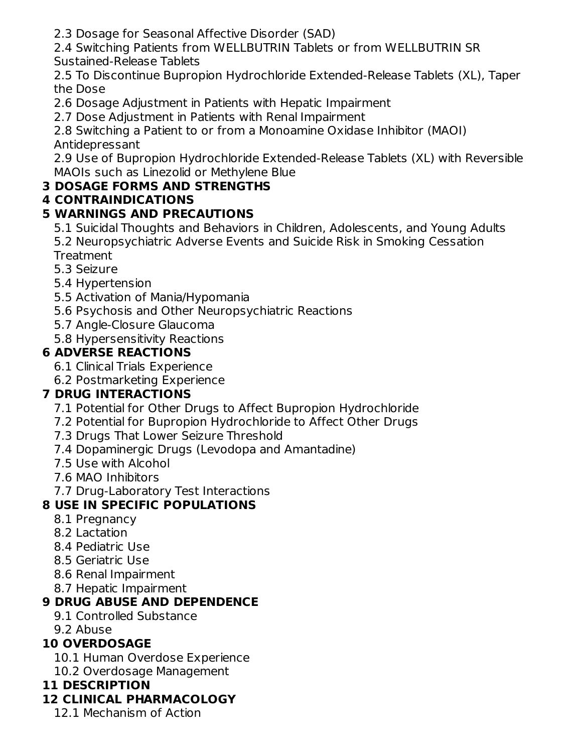2.3 Dosage for Seasonal Affective Disorder (SAD)

2.4 Switching Patients from WELLBUTRIN Tablets or from WELLBUTRIN SR Sustained-Release Tablets

2.5 To Discontinue Bupropion Hydrochloride Extended-Release Tablets (XL), Taper the Dose

- 2.6 Dosage Adjustment in Patients with Hepatic Impairment
- 2.7 Dose Adjustment in Patients with Renal Impairment

2.8 Switching a Patient to or from a Monoamine Oxidase Inhibitor (MAOI) Antidepressant

2.9 Use of Bupropion Hydrochloride Extended-Release Tablets (XL) with Reversible MAOIs such as Linezolid or Methylene Blue

# **3 DOSAGE FORMS AND STRENGTHS**

# **4 CONTRAINDICATIONS**

## **5 WARNINGS AND PRECAUTIONS**

- 5.1 Suicidal Thoughts and Behaviors in Children, Adolescents, and Young Adults 5.2 Neuropsychiatric Adverse Events and Suicide Risk in Smoking Cessation **Treatment**
- 5.3 Seizure
- 5.4 Hypertension
- 5.5 Activation of Mania/Hypomania
- 5.6 Psychosis and Other Neuropsychiatric Reactions
- 5.7 Angle-Closure Glaucoma
- 5.8 Hypersensitivity Reactions

## **6 ADVERSE REACTIONS**

- 6.1 Clinical Trials Experience
- 6.2 Postmarketing Experience

## **7 DRUG INTERACTIONS**

- 7.1 Potential for Other Drugs to Affect Bupropion Hydrochloride
- 7.2 Potential for Bupropion Hydrochloride to Affect Other Drugs
- 7.3 Drugs That Lower Seizure Threshold
- 7.4 Dopaminergic Drugs (Levodopa and Amantadine)
- 7.5 Use with Alcohol
- 7.6 MAO Inhibitors
- 7.7 Drug-Laboratory Test Interactions

## **8 USE IN SPECIFIC POPULATIONS**

- 8.1 Pregnancy
- 8.2 Lactation
- 8.4 Pediatric Use
- 8.5 Geriatric Use
- 8.6 Renal Impairment
- 8.7 Hepatic Impairment

## **9 DRUG ABUSE AND DEPENDENCE**

- 9.1 Controlled Substance
- 9.2 Abuse

## **10 OVERDOSAGE**

- 10.1 Human Overdose Experience
- 10.2 Overdosage Management

## **11 DESCRIPTION**

# **12 CLINICAL PHARMACOLOGY**

12.1 Mechanism of Action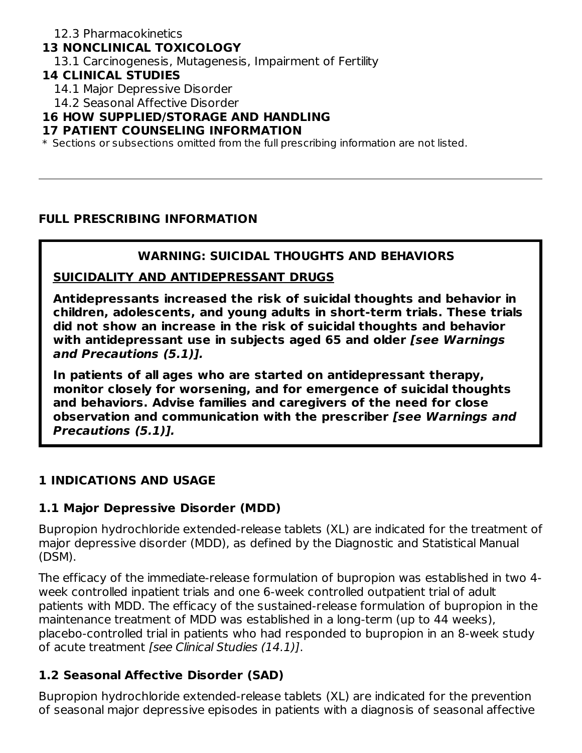### **13 NONCLINICAL TOXICOLOGY**

13.1 Carcinogenesis, Mutagenesis, Impairment of Fertility

#### **14 CLINICAL STUDIES**

- 14.1 Major Depressive Disorder
- 14.2 Seasonal Affective Disorder

#### **16 HOW SUPPLIED/STORAGE AND HANDLING**

#### **17 PATIENT COUNSELING INFORMATION**

 $\ast$  Sections or subsections omitted from the full prescribing information are not listed.

#### **FULL PRESCRIBING INFORMATION**

#### **WARNING: SUICIDAL THOUGHTS AND BEHAVIORS**

#### **SUICIDALITY AND ANTIDEPRESSANT DRUGS**

**Antidepressants increased the risk of suicidal thoughts and behavior in children, adolescents, and young adults in short-term trials. These trials did not show an increase in the risk of suicidal thoughts and behavior with antidepressant use in subjects aged 65 and older [see Warnings and Precautions (5.1)].**

**In patients of all ages who are started on antidepressant therapy, monitor closely for worsening, and for emergence of suicidal thoughts and behaviors. Advise families and caregivers of the need for close observation and communication with the prescriber [see Warnings and Precautions (5.1)].**

### **1 INDICATIONS AND USAGE**

#### **1.1 Major Depressive Disorder (MDD)**

Bupropion hydrochloride extended-release tablets (XL) are indicated for the treatment of major depressive disorder (MDD), as defined by the Diagnostic and Statistical Manual (DSM).

The efficacy of the immediate-release formulation of bupropion was established in two 4 week controlled inpatient trials and one 6-week controlled outpatient trial of adult patients with MDD. The efficacy of the sustained-release formulation of bupropion in the maintenance treatment of MDD was established in a long-term (up to 44 weeks), placebo-controlled trial in patients who had responded to bupropion in an 8-week study of acute treatment [see Clinical Studies (14.1)].

### **1.2 Seasonal Affective Disorder (SAD)**

Bupropion hydrochloride extended-release tablets (XL) are indicated for the prevention of seasonal major depressive episodes in patients with a diagnosis of seasonal affective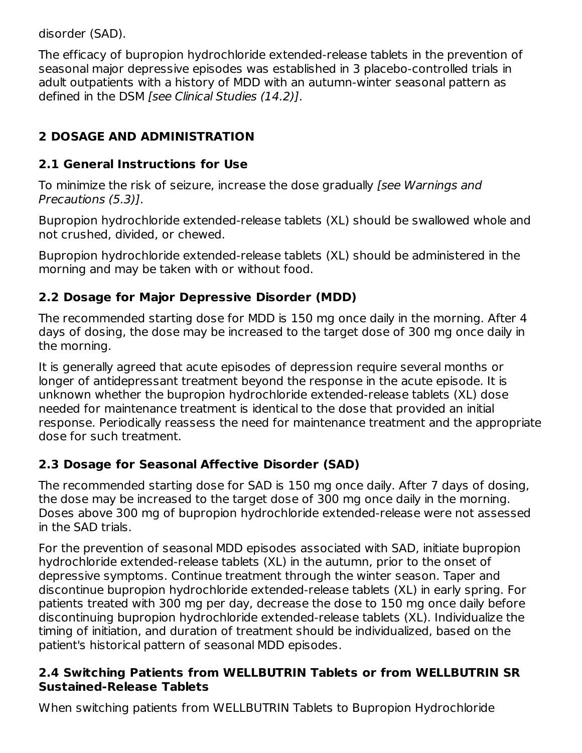disorder (SAD).

The efficacy of bupropion hydrochloride extended-release tablets in the prevention of seasonal major depressive episodes was established in 3 placebo-controlled trials in adult outpatients with a history of MDD with an autumn-winter seasonal pattern as defined in the DSM [see Clinical Studies (14.2)].

# **2 DOSAGE AND ADMINISTRATION**

# **2.1 General Instructions for Use**

To minimize the risk of seizure, increase the dose gradually *[see Warnings and* Precautions (5.3)].

Bupropion hydrochloride extended-release tablets (XL) should be swallowed whole and not crushed, divided, or chewed.

Bupropion hydrochloride extended-release tablets (XL) should be administered in the morning and may be taken with or without food.

# **2.2 Dosage for Major Depressive Disorder (MDD)**

The recommended starting dose for MDD is 150 mg once daily in the morning. After 4 days of dosing, the dose may be increased to the target dose of 300 mg once daily in the morning.

It is generally agreed that acute episodes of depression require several months or longer of antidepressant treatment beyond the response in the acute episode. It is unknown whether the bupropion hydrochloride extended-release tablets (XL) dose needed for maintenance treatment is identical to the dose that provided an initial response. Periodically reassess the need for maintenance treatment and the appropriate dose for such treatment.

# **2.3 Dosage for Seasonal Affective Disorder (SAD)**

The recommended starting dose for SAD is 150 mg once daily. After 7 days of dosing, the dose may be increased to the target dose of 300 mg once daily in the morning. Doses above 300 mg of bupropion hydrochloride extended-release were not assessed in the SAD trials.

For the prevention of seasonal MDD episodes associated with SAD, initiate bupropion hydrochloride extended-release tablets (XL) in the autumn, prior to the onset of depressive symptoms. Continue treatment through the winter season. Taper and discontinue bupropion hydrochloride extended-release tablets (XL) in early spring. For patients treated with 300 mg per day, decrease the dose to 150 mg once daily before discontinuing bupropion hydrochloride extended-release tablets (XL). Individualize the timing of initiation, and duration of treatment should be individualized, based on the patient's historical pattern of seasonal MDD episodes.

### **2.4 Switching Patients from WELLBUTRIN Tablets or from WELLBUTRIN SR Sustained-Release Tablets**

When switching patients from WELLBUTRIN Tablets to Bupropion Hydrochloride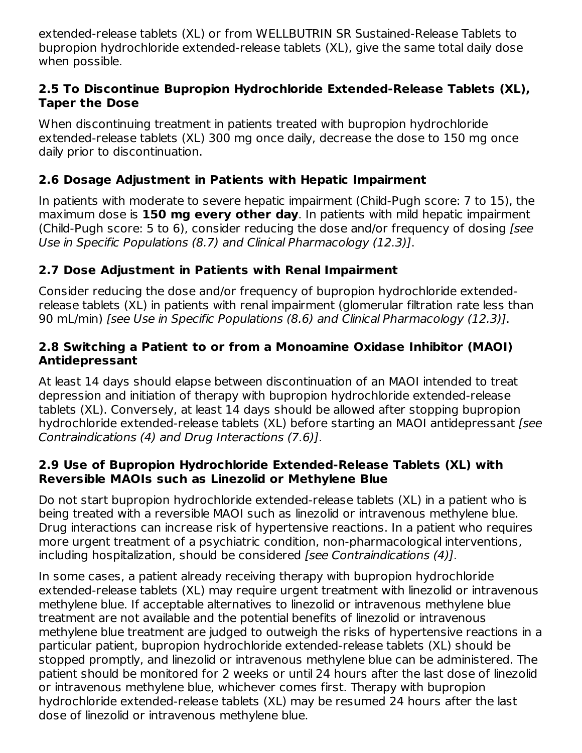extended-release tablets (XL) or from WELLBUTRIN SR Sustained-Release Tablets to bupropion hydrochloride extended-release tablets (XL), give the same total daily dose when possible.

#### **2.5 To Discontinue Bupropion Hydrochloride Extended-Release Tablets (XL), Taper the Dose**

When discontinuing treatment in patients treated with bupropion hydrochloride extended-release tablets (XL) 300 mg once daily, decrease the dose to 150 mg once daily prior to discontinuation.

### **2.6 Dosage Adjustment in Patients with Hepatic Impairment**

In patients with moderate to severe hepatic impairment (Child-Pugh score: 7 to 15), the maximum dose is **150 mg every other day**. In patients with mild hepatic impairment (Child-Pugh score: 5 to 6), consider reducing the dose and/or frequency of dosing [see Use in Specific Populations (8.7) and Clinical Pharmacology (12.3)].

### **2.7 Dose Adjustment in Patients with Renal Impairment**

Consider reducing the dose and/or frequency of bupropion hydrochloride extendedrelease tablets (XL) in patients with renal impairment (glomerular filtration rate less than 90 mL/min) [see Use in Specific Populations (8.6) and Clinical Pharmacology (12.3)].

#### **2.8 Switching a Patient to or from a Monoamine Oxidase Inhibitor (MAOI) Antidepressant**

At least 14 days should elapse between discontinuation of an MAOI intended to treat depression and initiation of therapy with bupropion hydrochloride extended-release tablets (XL). Conversely, at least 14 days should be allowed after stopping bupropion hydrochloride extended-release tablets (XL) before starting an MAOI antidepressant [see Contraindications (4) and Drug Interactions (7.6)].

#### **2.9 Use of Bupropion Hydrochloride Extended-Release Tablets (XL) with Reversible MAOIs such as Linezolid or Methylene Blue**

Do not start bupropion hydrochloride extended-release tablets (XL) in a patient who is being treated with a reversible MAOI such as linezolid or intravenous methylene blue. Drug interactions can increase risk of hypertensive reactions. In a patient who requires more urgent treatment of a psychiatric condition, non-pharmacological interventions, including hospitalization, should be considered [see Contraindications (4)].

In some cases, a patient already receiving therapy with bupropion hydrochloride extended-release tablets (XL) may require urgent treatment with linezolid or intravenous methylene blue. If acceptable alternatives to linezolid or intravenous methylene blue treatment are not available and the potential benefits of linezolid or intravenous methylene blue treatment are judged to outweigh the risks of hypertensive reactions in a particular patient, bupropion hydrochloride extended-release tablets (XL) should be stopped promptly, and linezolid or intravenous methylene blue can be administered. The patient should be monitored for 2 weeks or until 24 hours after the last dose of linezolid or intravenous methylene blue, whichever comes first. Therapy with bupropion hydrochloride extended-release tablets (XL) may be resumed 24 hours after the last dose of linezolid or intravenous methylene blue.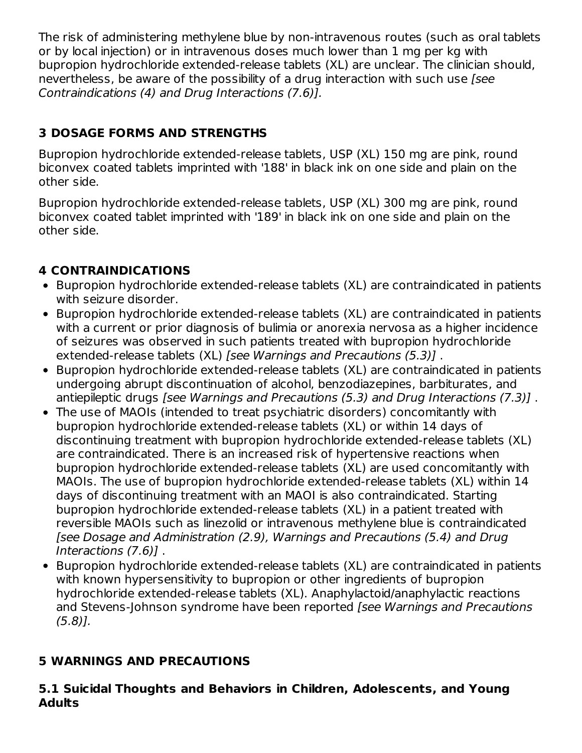The risk of administering methylene blue by non-intravenous routes (such as oral tablets or by local injection) or in intravenous doses much lower than 1 mg per kg with bupropion hydrochloride extended-release tablets (XL) are unclear. The clinician should, nevertheless, be aware of the possibility of a drug interaction with such use *[see*] Contraindications (4) and Drug Interactions (7.6)].

# **3 DOSAGE FORMS AND STRENGTHS**

Bupropion hydrochloride extended-release tablets, USP (XL) 150 mg are pink, round biconvex coated tablets imprinted with '188' in black ink on one side and plain on the other side.

Bupropion hydrochloride extended-release tablets, USP (XL) 300 mg are pink, round biconvex coated tablet imprinted with '189' in black ink on one side and plain on the other side.

# **4 CONTRAINDICATIONS**

- Bupropion hydrochloride extended-release tablets (XL) are contraindicated in patients with seizure disorder.
- Bupropion hydrochloride extended-release tablets (XL) are contraindicated in patients with a current or prior diagnosis of bulimia or anorexia nervosa as a higher incidence of seizures was observed in such patients treated with bupropion hydrochloride extended-release tablets (XL) [see Warnings and Precautions (5.3)] .
- Bupropion hydrochloride extended-release tablets (XL) are contraindicated in patients undergoing abrupt discontinuation of alcohol, benzodiazepines, barbiturates, and antiepileptic drugs [see Warnings and Precautions (5.3) and Drug Interactions (7.3)] .
- The use of MAOIs (intended to treat psychiatric disorders) concomitantly with bupropion hydrochloride extended-release tablets (XL) or within 14 days of discontinuing treatment with bupropion hydrochloride extended-release tablets (XL) are contraindicated. There is an increased risk of hypertensive reactions when bupropion hydrochloride extended-release tablets (XL) are used concomitantly with MAOIs. The use of bupropion hydrochloride extended-release tablets (XL) within 14 days of discontinuing treatment with an MAOI is also contraindicated. Starting bupropion hydrochloride extended-release tablets (XL) in a patient treated with reversible MAOIs such as linezolid or intravenous methylene blue is contraindicated [see Dosage and Administration (2.9), Warnings and Precautions (5.4) and Drug Interactions (7.6)] .
- Bupropion hydrochloride extended-release tablets (XL) are contraindicated in patients with known hypersensitivity to bupropion or other ingredients of bupropion hydrochloride extended-release tablets (XL). Anaphylactoid/anaphylactic reactions and Stevens-Johnson syndrome have been reported [see Warnings and Precautions (5.8)].

## **5 WARNINGS AND PRECAUTIONS**

#### **5.1 Suicidal Thoughts and Behaviors in Children, Adolescents, and Young Adults**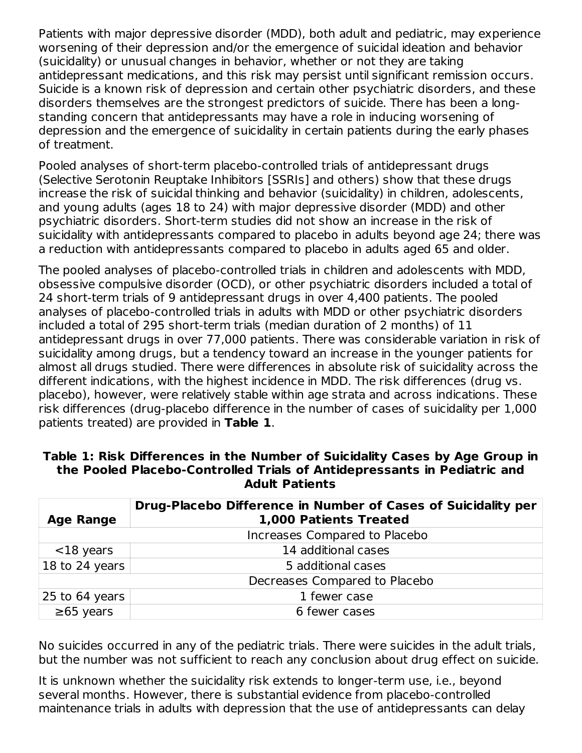Patients with major depressive disorder (MDD), both adult and pediatric, may experience worsening of their depression and/or the emergence of suicidal ideation and behavior (suicidality) or unusual changes in behavior, whether or not they are taking antidepressant medications, and this risk may persist until significant remission occurs. Suicide is a known risk of depression and certain other psychiatric disorders, and these disorders themselves are the strongest predictors of suicide. There has been a longstanding concern that antidepressants may have a role in inducing worsening of depression and the emergence of suicidality in certain patients during the early phases of treatment.

Pooled analyses of short-term placebo-controlled trials of antidepressant drugs (Selective Serotonin Reuptake Inhibitors [SSRIs] and others) show that these drugs increase the risk of suicidal thinking and behavior (suicidality) in children, adolescents, and young adults (ages 18 to 24) with major depressive disorder (MDD) and other psychiatric disorders. Short-term studies did not show an increase in the risk of suicidality with antidepressants compared to placebo in adults beyond age 24; there was a reduction with antidepressants compared to placebo in adults aged 65 and older.

The pooled analyses of placebo-controlled trials in children and adolescents with MDD, obsessive compulsive disorder (OCD), or other psychiatric disorders included a total of 24 short-term trials of 9 antidepressant drugs in over 4,400 patients. The pooled analyses of placebo-controlled trials in adults with MDD or other psychiatric disorders included a total of 295 short-term trials (median duration of 2 months) of 11 antidepressant drugs in over 77,000 patients. There was considerable variation in risk of suicidality among drugs, but a tendency toward an increase in the younger patients for almost all drugs studied. There were differences in absolute risk of suicidality across the different indications, with the highest incidence in MDD. The risk differences (drug vs. placebo), however, were relatively stable within age strata and across indications. These risk differences (drug-placebo difference in the number of cases of suicidality per 1,000 patients treated) are provided in **Table 1**.

|                  | Drug-Placebo Difference in Number of Cases of Suicidality per |
|------------------|---------------------------------------------------------------|
| <b>Age Range</b> | 1,000 Patients Treated                                        |
|                  | Increases Compared to Placebo                                 |
| $<$ 18 years     | 14 additional cases                                           |
| 18 to 24 years   | 5 additional cases                                            |
|                  | Decreases Compared to Placebo                                 |
| $25$ to 64 years | 1 fewer case                                                  |
| $\geq 65$ years  | 6 fewer cases                                                 |

#### **Table 1: Risk Differences in the Number of Suicidality Cases by Age Group in the Pooled Placebo-Controlled Trials of Antidepressants in Pediatric and Adult Patients**

No suicides occurred in any of the pediatric trials. There were suicides in the adult trials, but the number was not sufficient to reach any conclusion about drug effect on suicide.

It is unknown whether the suicidality risk extends to longer-term use, i.e., beyond several months. However, there is substantial evidence from placebo-controlled maintenance trials in adults with depression that the use of antidepressants can delay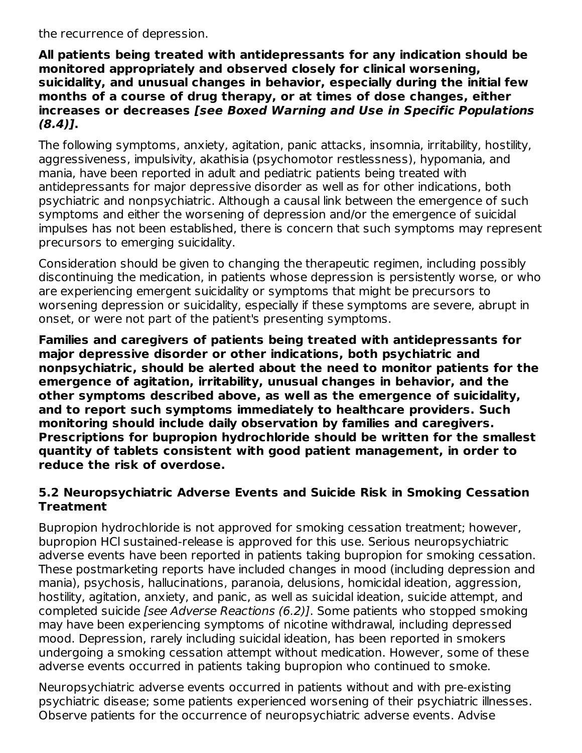the recurrence of depression.

**All patients being treated with antidepressants for any indication should be monitored appropriately and observed closely for clinical worsening, suicidality, and unusual changes in behavior, especially during the initial few months of a course of drug therapy, or at times of dose changes, either increases or decreases [see Boxed Warning and Use in Specific Populations (8.4)].**

The following symptoms, anxiety, agitation, panic attacks, insomnia, irritability, hostility, aggressiveness, impulsivity, akathisia (psychomotor restlessness), hypomania, and mania, have been reported in adult and pediatric patients being treated with antidepressants for major depressive disorder as well as for other indications, both psychiatric and nonpsychiatric. Although a causal link between the emergence of such symptoms and either the worsening of depression and/or the emergence of suicidal impulses has not been established, there is concern that such symptoms may represent precursors to emerging suicidality.

Consideration should be given to changing the therapeutic regimen, including possibly discontinuing the medication, in patients whose depression is persistently worse, or who are experiencing emergent suicidality or symptoms that might be precursors to worsening depression or suicidality, especially if these symptoms are severe, abrupt in onset, or were not part of the patient's presenting symptoms.

**Families and caregivers of patients being treated with antidepressants for major depressive disorder or other indications, both psychiatric and nonpsychiatric, should be alerted about the need to monitor patients for the emergence of agitation, irritability, unusual changes in behavior, and the other symptoms described above, as well as the emergence of suicidality, and to report such symptoms immediately to healthcare providers. Such monitoring should include daily observation by families and caregivers. Prescriptions for bupropion hydrochloride should be written for the smallest quantity of tablets consistent with good patient management, in order to reduce the risk of overdose.**

#### **5.2 Neuropsychiatric Adverse Events and Suicide Risk in Smoking Cessation Treatment**

Bupropion hydrochloride is not approved for smoking cessation treatment; however, bupropion HCl sustained-release is approved for this use. Serious neuropsychiatric adverse events have been reported in patients taking bupropion for smoking cessation. These postmarketing reports have included changes in mood (including depression and mania), psychosis, hallucinations, paranoia, delusions, homicidal ideation, aggression, hostility, agitation, anxiety, and panic, as well as suicidal ideation, suicide attempt, and completed suicide [see Adverse Reactions (6.2)]. Some patients who stopped smoking may have been experiencing symptoms of nicotine withdrawal, including depressed mood. Depression, rarely including suicidal ideation, has been reported in smokers undergoing a smoking cessation attempt without medication. However, some of these adverse events occurred in patients taking bupropion who continued to smoke.

Neuropsychiatric adverse events occurred in patients without and with pre-existing psychiatric disease; some patients experienced worsening of their psychiatric illnesses. Observe patients for the occurrence of neuropsychiatric adverse events. Advise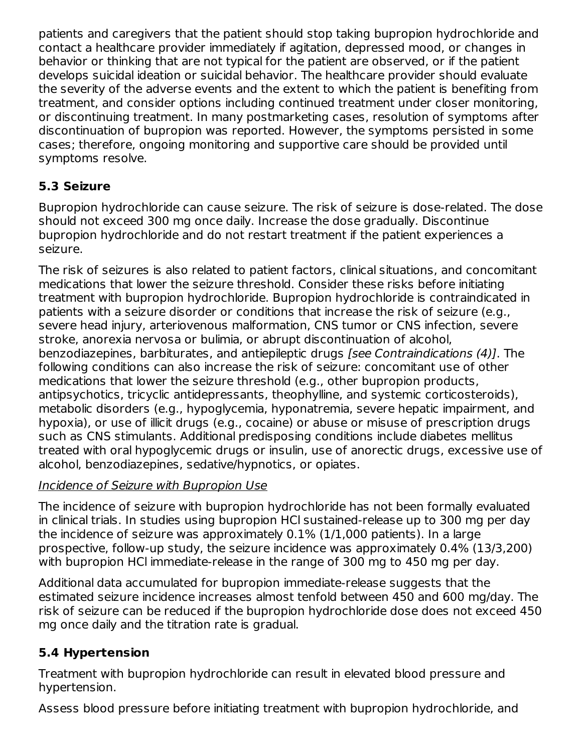patients and caregivers that the patient should stop taking bupropion hydrochloride and contact a healthcare provider immediately if agitation, depressed mood, or changes in behavior or thinking that are not typical for the patient are observed, or if the patient develops suicidal ideation or suicidal behavior. The healthcare provider should evaluate the severity of the adverse events and the extent to which the patient is benefiting from treatment, and consider options including continued treatment under closer monitoring, or discontinuing treatment. In many postmarketing cases, resolution of symptoms after discontinuation of bupropion was reported. However, the symptoms persisted in some cases; therefore, ongoing monitoring and supportive care should be provided until symptoms resolve.

# **5.3 Seizure**

Bupropion hydrochloride can cause seizure. The risk of seizure is dose-related. The dose should not exceed 300 mg once daily. Increase the dose gradually. Discontinue bupropion hydrochloride and do not restart treatment if the patient experiences a seizure.

The risk of seizures is also related to patient factors, clinical situations, and concomitant medications that lower the seizure threshold. Consider these risks before initiating treatment with bupropion hydrochloride. Bupropion hydrochloride is contraindicated in patients with a seizure disorder or conditions that increase the risk of seizure (e.g., severe head injury, arteriovenous malformation, CNS tumor or CNS infection, severe stroke, anorexia nervosa or bulimia, or abrupt discontinuation of alcohol, benzodiazepines, barbiturates, and antiepileptic drugs [see Contraindications (4)]. The following conditions can also increase the risk of seizure: concomitant use of other medications that lower the seizure threshold (e.g., other bupropion products, antipsychotics, tricyclic antidepressants, theophylline, and systemic corticosteroids), metabolic disorders (e.g., hypoglycemia, hyponatremia, severe hepatic impairment, and hypoxia), or use of illicit drugs (e.g., cocaine) or abuse or misuse of prescription drugs such as CNS stimulants. Additional predisposing conditions include diabetes mellitus treated with oral hypoglycemic drugs or insulin, use of anorectic drugs, excessive use of alcohol, benzodiazepines, sedative/hypnotics, or opiates.

# Incidence of Seizure with Bupropion Use

The incidence of seizure with bupropion hydrochloride has not been formally evaluated in clinical trials. In studies using bupropion HCl sustained-release up to 300 mg per day the incidence of seizure was approximately 0.1% (1/1,000 patients). In a large prospective, follow-up study, the seizure incidence was approximately 0.4% (13/3,200) with bupropion HCl immediate-release in the range of 300 mg to 450 mg per day.

Additional data accumulated for bupropion immediate-release suggests that the estimated seizure incidence increases almost tenfold between 450 and 600 mg/day. The risk of seizure can be reduced if the bupropion hydrochloride dose does not exceed 450 mg once daily and the titration rate is gradual.

# **5.4 Hypertension**

Treatment with bupropion hydrochloride can result in elevated blood pressure and hypertension.

Assess blood pressure before initiating treatment with bupropion hydrochloride, and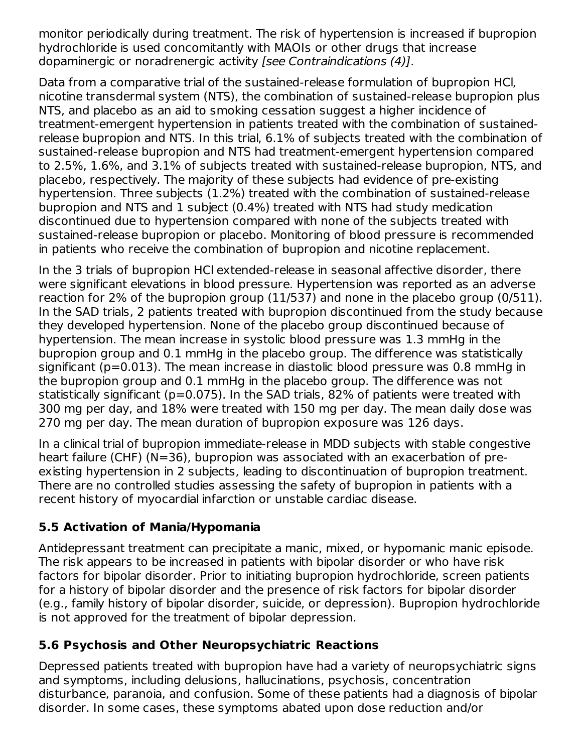monitor periodically during treatment. The risk of hypertension is increased if bupropion hydrochloride is used concomitantly with MAOIs or other drugs that increase dopaminergic or noradrenergic activity [see Contraindications (4)].

Data from a comparative trial of the sustained-release formulation of bupropion HCl, nicotine transdermal system (NTS), the combination of sustained-release bupropion plus NTS, and placebo as an aid to smoking cessation suggest a higher incidence of treatment-emergent hypertension in patients treated with the combination of sustainedrelease bupropion and NTS. In this trial, 6.1% of subjects treated with the combination of sustained-release bupropion and NTS had treatment-emergent hypertension compared to 2.5%, 1.6%, and 3.1% of subjects treated with sustained-release bupropion, NTS, and placebo, respectively. The majority of these subjects had evidence of pre-existing hypertension. Three subjects (1.2%) treated with the combination of sustained-release bupropion and NTS and 1 subject (0.4%) treated with NTS had study medication discontinued due to hypertension compared with none of the subjects treated with sustained-release bupropion or placebo. Monitoring of blood pressure is recommended in patients who receive the combination of bupropion and nicotine replacement.

In the 3 trials of bupropion HCl extended-release in seasonal affective disorder, there were significant elevations in blood pressure. Hypertension was reported as an adverse reaction for 2% of the bupropion group (11/537) and none in the placebo group (0/511). In the SAD trials, 2 patients treated with bupropion discontinued from the study because they developed hypertension. None of the placebo group discontinued because of hypertension. The mean increase in systolic blood pressure was 1.3 mmHg in the bupropion group and 0.1 mmHg in the placebo group. The difference was statistically significant (p=0.013). The mean increase in diastolic blood pressure was 0.8 mmHg in the bupropion group and 0.1 mmHg in the placebo group. The difference was not statistically significant (p=0.075). In the SAD trials, 82% of patients were treated with 300 mg per day, and 18% were treated with 150 mg per day. The mean daily dose was 270 mg per day. The mean duration of bupropion exposure was 126 days.

In a clinical trial of bupropion immediate-release in MDD subjects with stable congestive heart failure (CHF) (N=36), bupropion was associated with an exacerbation of preexisting hypertension in 2 subjects, leading to discontinuation of bupropion treatment. There are no controlled studies assessing the safety of bupropion in patients with a recent history of myocardial infarction or unstable cardiac disease.

### **5.5 Activation of Mania/Hypomania**

Antidepressant treatment can precipitate a manic, mixed, or hypomanic manic episode. The risk appears to be increased in patients with bipolar disorder or who have risk factors for bipolar disorder. Prior to initiating bupropion hydrochloride, screen patients for a history of bipolar disorder and the presence of risk factors for bipolar disorder (e.g., family history of bipolar disorder, suicide, or depression). Bupropion hydrochloride is not approved for the treatment of bipolar depression.

## **5.6 Psychosis and Other Neuropsychiatric Reactions**

Depressed patients treated with bupropion have had a variety of neuropsychiatric signs and symptoms, including delusions, hallucinations, psychosis, concentration disturbance, paranoia, and confusion. Some of these patients had a diagnosis of bipolar disorder. In some cases, these symptoms abated upon dose reduction and/or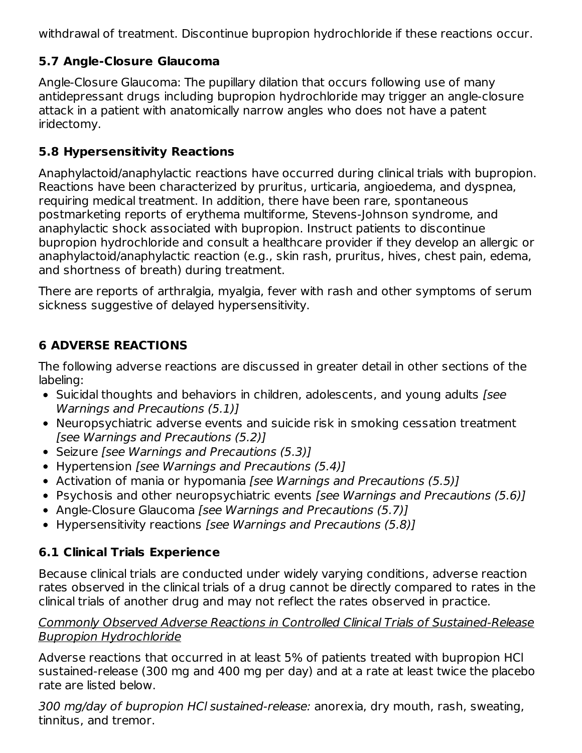withdrawal of treatment. Discontinue bupropion hydrochloride if these reactions occur.

# **5.7 Angle-Closure Glaucoma**

Angle-Closure Glaucoma: The pupillary dilation that occurs following use of many antidepressant drugs including bupropion hydrochloride may trigger an angle-closure attack in a patient with anatomically narrow angles who does not have a patent iridectomy.

# **5.8 Hypersensitivity Reactions**

Anaphylactoid/anaphylactic reactions have occurred during clinical trials with bupropion. Reactions have been characterized by pruritus, urticaria, angioedema, and dyspnea, requiring medical treatment. In addition, there have been rare, spontaneous postmarketing reports of erythema multiforme, Stevens-Johnson syndrome, and anaphylactic shock associated with bupropion. Instruct patients to discontinue bupropion hydrochloride and consult a healthcare provider if they develop an allergic or anaphylactoid/anaphylactic reaction (e.g., skin rash, pruritus, hives, chest pain, edema, and shortness of breath) during treatment.

There are reports of arthralgia, myalgia, fever with rash and other symptoms of serum sickness suggestive of delayed hypersensitivity.

# **6 ADVERSE REACTIONS**

The following adverse reactions are discussed in greater detail in other sections of the labeling:

- Suicidal thoughts and behaviors in children, adolescents, and young adults [see Warnings and Precautions (5.1)]
- Neuropsychiatric adverse events and suicide risk in smoking cessation treatment [see Warnings and Precautions (5.2)]
- Seizure [see Warnings and Precautions (5.3)]
- Hypertension *[see Warnings and Precautions (5.4)]*
- Activation of mania or hypomania *[see Warnings and Precautions (5.5)]*
- Psychosis and other neuropsychiatric events [see Warnings and Precautions (5.6)]
- Angle-Closure Glaucoma [see Warnings and Precautions (5.7)]
- Hypersensitivity reactions [see Warnings and Precautions (5.8)]

# **6.1 Clinical Trials Experience**

Because clinical trials are conducted under widely varying conditions, adverse reaction rates observed in the clinical trials of a drug cannot be directly compared to rates in the clinical trials of another drug and may not reflect the rates observed in practice.

#### Commonly Observed Adverse Reactions in Controlled Clinical Trials of Sustained-Release Bupropion Hydrochloride

Adverse reactions that occurred in at least 5% of patients treated with bupropion HCl sustained-release (300 mg and 400 mg per day) and at a rate at least twice the placebo rate are listed below.

300 mg/day of bupropion HCl sustained-release: anorexia, dry mouth, rash, sweating, tinnitus, and tremor.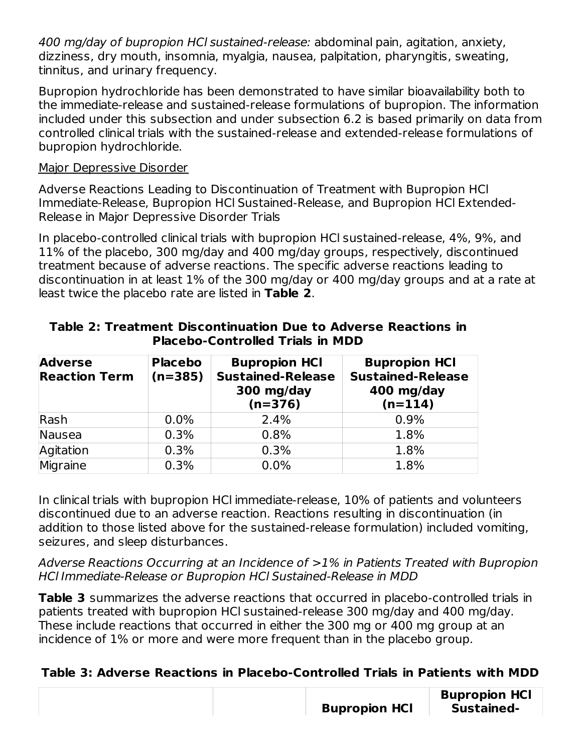400 mg/day of bupropion HCl sustained-release: abdominal pain, agitation, anxiety, dizziness, dry mouth, insomnia, myalgia, nausea, palpitation, pharyngitis, sweating, tinnitus, and urinary frequency.

Bupropion hydrochloride has been demonstrated to have similar bioavailability both to the immediate-release and sustained-release formulations of bupropion. The information included under this subsection and under subsection 6.2 is based primarily on data from controlled clinical trials with the sustained-release and extended-release formulations of bupropion hydrochloride.

#### Major Depressive Disorder

tinnitus, and tremor.

Adverse Reactions Leading to Discontinuation of Treatment with Bupropion HCl Immediate-Release, Bupropion HCl Sustained-Release, and Bupropion HCl Extended-Release in Major Depressive Disorder Trials

In placebo-controlled clinical trials with bupropion HCl sustained-release, 4%, 9%, and 11% of the placebo, 300 mg/day and 400 mg/day groups, respectively, discontinued treatment because of adverse reactions. The specific adverse reactions leading to discontinuation in at least 1% of the 300 mg/day or 400 mg/day groups and at a rate at least twice the placebo rate are listed in **Table 2**.

| <b>Adverse</b><br><b>Reaction Term</b> | <b>Placebo</b><br>$(n=385)$ | <b>Bupropion HCI</b><br><b>Sustained-Release</b><br>300 mg/day<br>$(n=376)$ | <b>Bupropion HCI</b><br><b>Sustained-Release</b><br>400 mg/day<br>$(n=114)$ |
|----------------------------------------|-----------------------------|-----------------------------------------------------------------------------|-----------------------------------------------------------------------------|
| Rash                                   | $0.0\%$                     | 2.4%                                                                        | 0.9%                                                                        |
| Nausea                                 | 0.3%                        | 0.8%                                                                        | 1.8%                                                                        |
| Agitation                              | 0.3%                        | 0.3%                                                                        | 1.8%                                                                        |
| Migraine                               | 0.3%                        | 0.0%                                                                        | 1.8%                                                                        |

#### **Table 2: Treatment Discontinuation Due to Adverse Reactions in Placebo-Controlled Trials in MDD**

In clinical trials with bupropion HCl immediate-release, 10% of patients and volunteers discontinued due to an adverse reaction. Reactions resulting in discontinuation (in addition to those listed above for the sustained-release formulation) included vomiting, seizures, and sleep disturbances.

Adverse Reactions Occurring at an Incidence of >1% in Patients Treated with Bupropion HCl Immediate-Release or Bupropion HCl Sustained-Release in MDD

**Table 3** summarizes the adverse reactions that occurred in placebo-controlled trials in patients treated with bupropion HCl sustained-release 300 mg/day and 400 mg/day. These include reactions that occurred in either the 300 mg or 400 mg group at an incidence of 1% or more and were more frequent than in the placebo group.

### **Table 3: Adverse Reactions in Placebo-Controlled Trials in Patients with MDD**

|  | <b>Bupropion HCI</b> | <b>Bupropion HCI</b><br>Sustained- |
|--|----------------------|------------------------------------|
|--|----------------------|------------------------------------|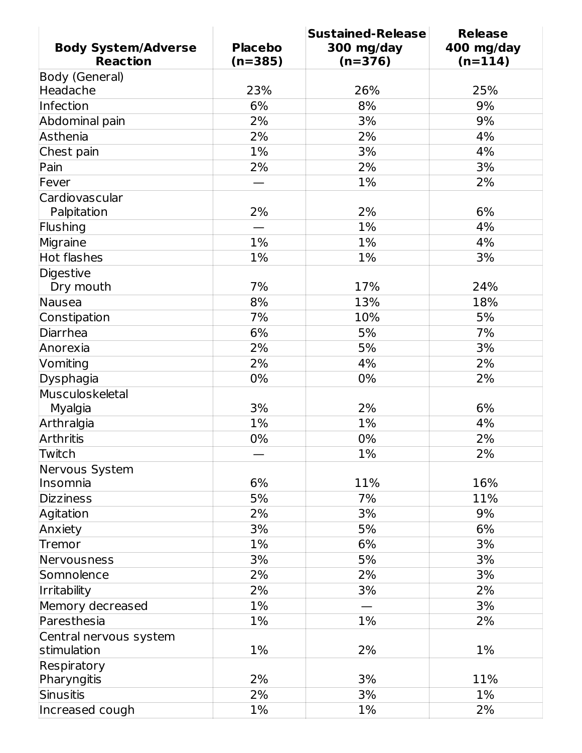|                            |                | <b>Sustained-Release</b> | <b>Release</b> |
|----------------------------|----------------|--------------------------|----------------|
| <b>Body System/Adverse</b> | <b>Placebo</b> | 300 mg/day               | 400 mg/day     |
| <b>Reaction</b>            | $(n=385)$      | $(n=376)$                | $(n=114)$      |
| Body (General)             |                |                          |                |
| Headache                   | 23%            | 26%                      | 25%            |
| Infection                  | 6%             | 8%                       | 9%             |
| Abdominal pain             | 2%             | 3%                       | 9%             |
| Asthenia                   | 2%             | 2%                       | 4%             |
| Chest pain                 | 1%             | 3%                       | 4%             |
| Pain                       | 2%             | 2%                       | 3%             |
| Fever                      |                | 1%                       | 2%             |
| Cardiovascular             |                |                          |                |
| Palpitation                | 2%             | 2%                       | 6%             |
| Flushing                   |                | 1%                       | 4%             |
| Migraine                   | 1%             | 1%                       | 4%             |
| Hot flashes                | 1%             | 1%                       | 3%             |
| Digestive                  |                |                          |                |
| Dry mouth                  | 7%             | 17%                      | 24%            |
| Nausea                     | 8%             | 13%                      | 18%            |
| Constipation               | 7%             | 10%                      | 5%             |
| Diarrhea                   | 6%             | 5%                       | 7%             |
| Anorexia                   | 2%             | 5%                       | 3%             |
| Vomiting                   | 2%             | 4%                       | 2%             |
| Dysphagia                  | 0%             | 0%                       | 2%             |
| Musculoskeletal            |                |                          |                |
| Myalgia                    | 3%             | 2%                       | 6%             |
| Arthralgia                 | 1%             | 1%                       | 4%             |
| <b>Arthritis</b>           | 0%             | 0%                       | 2%             |
| Twitch                     |                | 1%                       | 2%             |
| Nervous System             |                |                          |                |
| Insomnia                   | 6%             | 11%                      | 16%            |
| <b>Dizziness</b>           | 5%             | 7%                       | 11%            |
| Agitation                  | 2%             | 3%                       | 9%             |
| Anxiety                    | 3%             | 5%                       | 6%             |
| Tremor                     | 1%             | 6%                       | 3%             |
| Nervousness                | 3%             | 5%                       | 3%             |
| Somnolence                 | 2%             | 2%                       | 3%             |
| Irritability               | 2%             | 3%                       | 2%             |
| Memory decreased           | $1\%$          |                          | 3%             |
| Paresthesia                | 1%             | 1%                       | 2%             |
| Central nervous system     |                |                          |                |
| stimulation                | $1\%$          | 2%                       | 1%             |
| Respiratory                |                |                          |                |
| Pharyngitis                | 2%             | 3%                       | 11%            |
| Sinusitis                  | 2%             | 3%                       | 1%             |
| Increased cough            | $1\%$          | $1\%$                    | 2%             |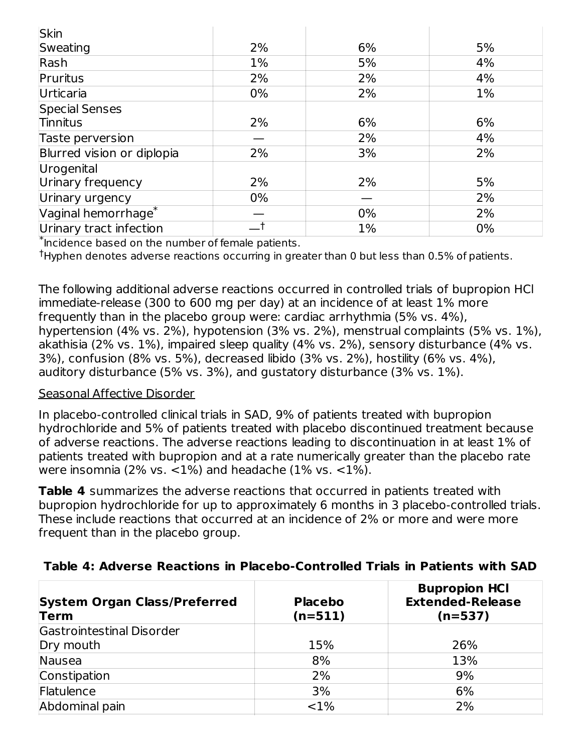| <b>Skin</b>                     |       |       |    |
|---------------------------------|-------|-------|----|
| Sweating                        | 2%    | 6%    | 5% |
| Rash                            | $1\%$ | 5%    | 4% |
| Pruritus                        | 2%    | 2%    | 4% |
| Urticaria                       | $0\%$ | 2%    | 1% |
| Special Senses                  |       |       |    |
| Tinnitus                        | 2%    | 6%    | 6% |
| Taste perversion                |       | 2%    | 4% |
| Blurred vision or diplopia      | 2%    | 3%    | 2% |
| Urogenital                      |       |       |    |
| Urinary frequency               | 2%    | 2%    | 5% |
| Urinary urgency                 | 0%    |       | 2% |
| Vaginal hemorrhage <sup>*</sup> |       | 0%    | 2% |
| Urinary tract infection         |       | $1\%$ | 0% |

 $*$  Incidence based on the number of female patients.

 $^\dagger$ Hyphen denotes adverse reactions occurring in greater than 0 but less than 0.5% of patients.

The following additional adverse reactions occurred in controlled trials of bupropion HCl immediate-release (300 to 600 mg per day) at an incidence of at least 1% more frequently than in the placebo group were: cardiac arrhythmia (5% vs. 4%), hypertension (4% vs. 2%), hypotension (3% vs. 2%), menstrual complaints (5% vs. 1%), akathisia (2% vs. 1%), impaired sleep quality (4% vs. 2%), sensory disturbance (4% vs. 3%), confusion (8% vs. 5%), decreased libido (3% vs. 2%), hostility (6% vs. 4%), auditory disturbance (5% vs. 3%), and gustatory disturbance (3% vs. 1%).

#### Seasonal Affective Disorder

In placebo-controlled clinical trials in SAD, 9% of patients treated with bupropion hydrochloride and 5% of patients treated with placebo discontinued treatment because of adverse reactions. The adverse reactions leading to discontinuation in at least 1% of patients treated with bupropion and at a rate numerically greater than the placebo rate were insomnia (2% vs.  $\langle 1\% \rangle$  and headache (1% vs.  $\langle 1\% \rangle$ ).

**Table 4** summarizes the adverse reactions that occurred in patients treated with bupropion hydrochloride for up to approximately 6 months in 3 placebo-controlled trials. These include reactions that occurred at an incidence of 2% or more and were more frequent than in the placebo group.

| <b>System Organ Class/Preferred</b><br>Term | <b>Placebo</b><br>$(n=511)$ | <b>Bupropion HCI</b><br><b>Extended-Release</b><br>$(n=537)$ |
|---------------------------------------------|-----------------------------|--------------------------------------------------------------|
| Gastrointestinal Disorder                   |                             |                                                              |
| Dry mouth                                   | 15%                         | 26%                                                          |
| Nausea                                      | 8%                          | 13%                                                          |
| Constipation                                | 2%                          | 9%                                                           |
| Flatulence                                  | 3%                          | 6%                                                           |
| Abdominal pain                              | $< 1\%$                     | 2%                                                           |
|                                             |                             |                                                              |

#### **Table 4: Adverse Reactions in Placebo-Controlled Trials in Patients with SAD**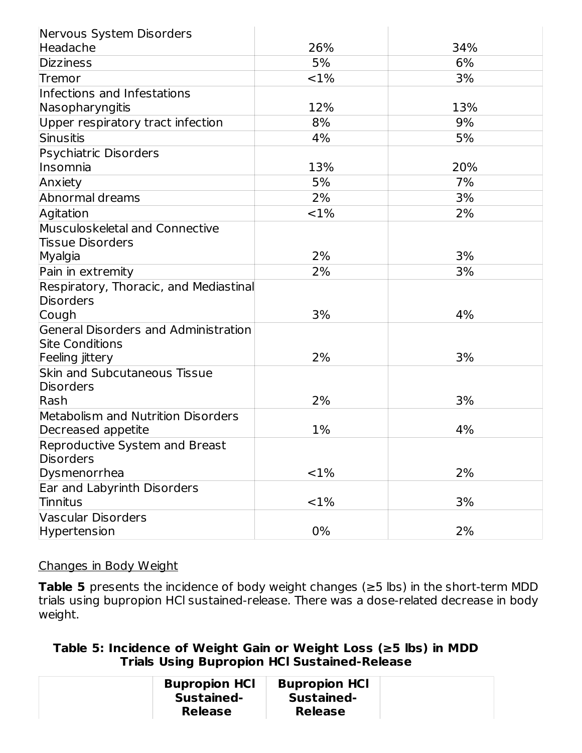| Nervous System Disorders                           |          |     |
|----------------------------------------------------|----------|-----|
| Headache                                           | 26%      | 34% |
| <b>Dizziness</b>                                   | 5%       | 6%  |
| Tremor                                             | ${<}1\%$ | 3%  |
| Infections and Infestations                        |          |     |
| Nasopharyngitis                                    | 12%      | 13% |
| Upper respiratory tract infection                  | 8%       | 9%  |
| Sinusitis                                          | 4%       | 5%  |
| Psychiatric Disorders                              |          |     |
| Insomnia                                           | 13%      | 20% |
| Anxiety                                            | 5%       | 7%  |
| Abnormal dreams                                    | 2%       | 3%  |
| Agitation                                          | ${<}1\%$ | 2%  |
| Musculoskeletal and Connective                     |          |     |
| <b>Tissue Disorders</b>                            |          |     |
| Myalgia                                            | 2%       | 3%  |
| Pain in extremity                                  | 2%       | 3%  |
| Respiratory, Thoracic, and Mediastinal             |          |     |
| Disorders                                          |          |     |
| Cough                                              | 3%       | 4%  |
| General Disorders and Administration               |          |     |
| <b>Site Conditions</b>                             |          |     |
| Feeling jittery                                    | 2%       | 3%  |
| <b>Skin and Subcutaneous Tissue</b>                |          |     |
| Disorders                                          |          |     |
| Rash                                               | 2%       | 3%  |
| <b>Metabolism and Nutrition Disorders</b>          |          |     |
| Decreased appetite                                 | 1%       | 4%  |
| Reproductive System and Breast<br><b>Disorders</b> |          |     |
| Dysmenorrhea                                       | <1%      | 2%  |
| Ear and Labyrinth Disorders                        |          |     |
| <b>Tinnitus</b>                                    | <1%      | 3%  |
| <b>Vascular Disorders</b>                          |          |     |
| <b>Hypertension</b>                                | 0%       | 2%  |
|                                                    |          |     |

#### Changes in Body Weight

**Table 5** presents the incidence of body weight changes (≥5 lbs) in the short-term MDD trials using bupropion HCl sustained-release. There was a dose-related decrease in body weight.

**Table 5: Incidence of Weight Gain or Weight Loss (≥5 lbs) in MDD Trials Using Bupropion HCl Sustained-Release**

| <b>Bupropion HCI</b><br>Sustained-<br><b>Release</b> |
|------------------------------------------------------|
|------------------------------------------------------|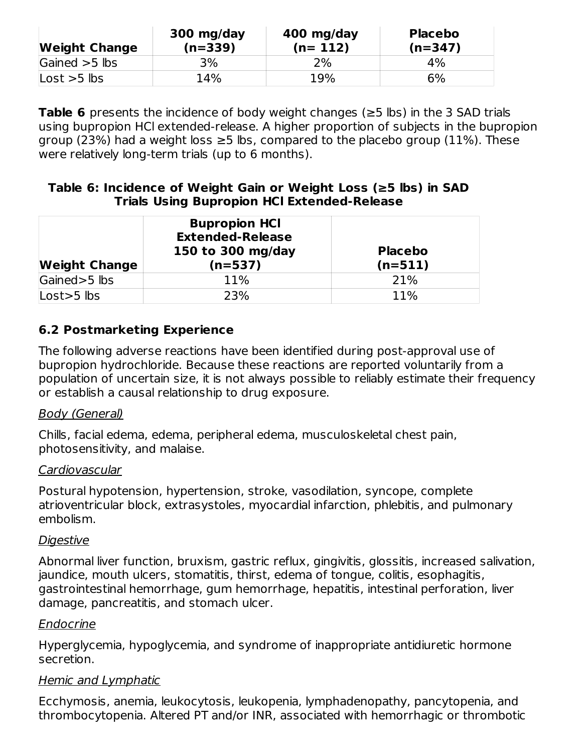| <b>Weight Change</b> | 300 mg/day<br>$(n=339)$ | 400 mg/day<br>$(n=112)$ | <b>Placebo</b><br>$(n=347)$ |
|----------------------|-------------------------|-------------------------|-----------------------------|
| Gained $>5$ lbs      | 3%                      | 2%                      | 4%                          |
| Lost $>5$ lbs        | 14%                     | 19%                     | 6%                          |

**Table 6** presents the incidence of body weight changes (≥5 lbs) in the 3 SAD trials using bupropion HCl extended-release. A higher proportion of subjects in the bupropion group (23%) had a weight loss  $\geq$ 5 lbs, compared to the placebo group (11%). These were relatively long-term trials (up to 6 months).

#### **Table 6: Incidence of Weight Gain or Weight Loss (≥5 lbs) in SAD Trials Using Bupropion HCl Extended-Release**

| <b>Weight Change</b> | <b>Bupropion HCI</b><br><b>Extended-Release</b><br>150 to 300 mg/day<br>$(n=537)$ | <b>Placebo</b><br>$(n=511)$ |
|----------------------|-----------------------------------------------------------------------------------|-----------------------------|
| Gained > 5 lbs       | 11%                                                                               | 21%                         |
| $Loss > 5$ lbs       | 23%                                                                               | 11%                         |

### **6.2 Postmarketing Experience**

The following adverse reactions have been identified during post-approval use of bupropion hydrochloride. Because these reactions are reported voluntarily from a population of uncertain size, it is not always possible to reliably estimate their frequency or establish a causal relationship to drug exposure.

#### Body (General)

Chills, facial edema, edema, peripheral edema, musculoskeletal chest pain, photosensitivity, and malaise.

#### **Cardiovascular**

Postural hypotension, hypertension, stroke, vasodilation, syncope, complete atrioventricular block, extrasystoles, myocardial infarction, phlebitis, and pulmonary embolism.

#### **Digestive**

Abnormal liver function, bruxism, gastric reflux, gingivitis, glossitis, increased salivation, jaundice, mouth ulcers, stomatitis, thirst, edema of tongue, colitis, esophagitis, gastrointestinal hemorrhage, gum hemorrhage, hepatitis, intestinal perforation, liver damage, pancreatitis, and stomach ulcer.

#### Endocrine

Hyperglycemia, hypoglycemia, and syndrome of inappropriate antidiuretic hormone secretion.

#### Hemic and Lymphatic

Ecchymosis, anemia, leukocytosis, leukopenia, lymphadenopathy, pancytopenia, and thrombocytopenia. Altered PT and/or INR, associated with hemorrhagic or thrombotic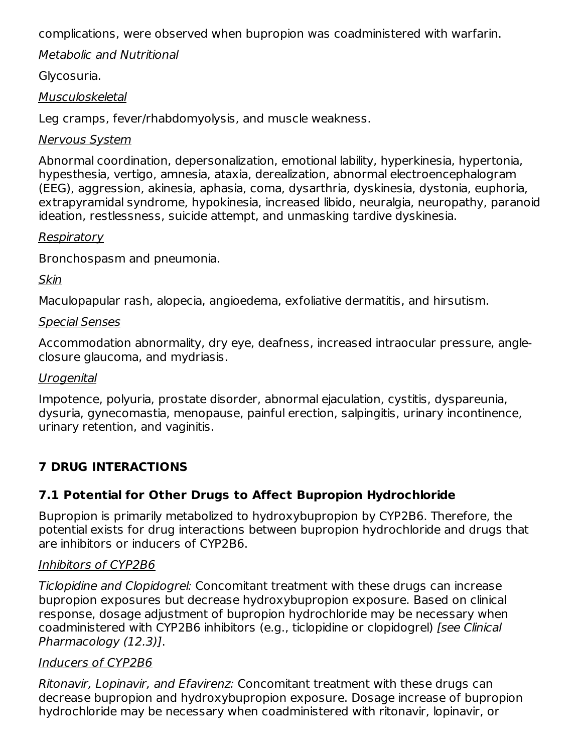complications, were observed when bupropion was coadministered with warfarin.

#### Metabolic and Nutritional

#### Glycosuria.

#### Musculoskeletal

Leg cramps, fever/rhabdomyolysis, and muscle weakness.

#### Nervous System

Abnormal coordination, depersonalization, emotional lability, hyperkinesia, hypertonia, hypesthesia, vertigo, amnesia, ataxia, derealization, abnormal electroencephalogram (EEG), aggression, akinesia, aphasia, coma, dysarthria, dyskinesia, dystonia, euphoria, extrapyramidal syndrome, hypokinesia, increased libido, neuralgia, neuropathy, paranoid ideation, restlessness, suicide attempt, and unmasking tardive dyskinesia.

#### Respiratory

Bronchospasm and pneumonia.

#### Skin

Maculopapular rash, alopecia, angioedema, exfoliative dermatitis, and hirsutism.

#### Special Senses

Accommodation abnormality, dry eye, deafness, increased intraocular pressure, angleclosure glaucoma, and mydriasis.

#### Urogenital

Impotence, polyuria, prostate disorder, abnormal ejaculation, cystitis, dyspareunia, dysuria, gynecomastia, menopause, painful erection, salpingitis, urinary incontinence, urinary retention, and vaginitis.

# **7 DRUG INTERACTIONS**

## **7.1 Potential for Other Drugs to Affect Bupropion Hydrochloride**

Bupropion is primarily metabolized to hydroxybupropion by CYP2B6. Therefore, the potential exists for drug interactions between bupropion hydrochloride and drugs that are inhibitors or inducers of CYP2B6.

### Inhibitors of CYP2B6

Ticlopidine and Clopidogrel: Concomitant treatment with these drugs can increase bupropion exposures but decrease hydroxybupropion exposure. Based on clinical response, dosage adjustment of bupropion hydrochloride may be necessary when coadministered with CYP2B6 inhibitors (e.g., ticlopidine or clopidogrel) [see Clinical Pharmacology (12.3)].

### Inducers of CYP2B6

Ritonavir, Lopinavir, and Efavirenz: Concomitant treatment with these drugs can decrease bupropion and hydroxybupropion exposure. Dosage increase of bupropion hydrochloride may be necessary when coadministered with ritonavir, lopinavir, or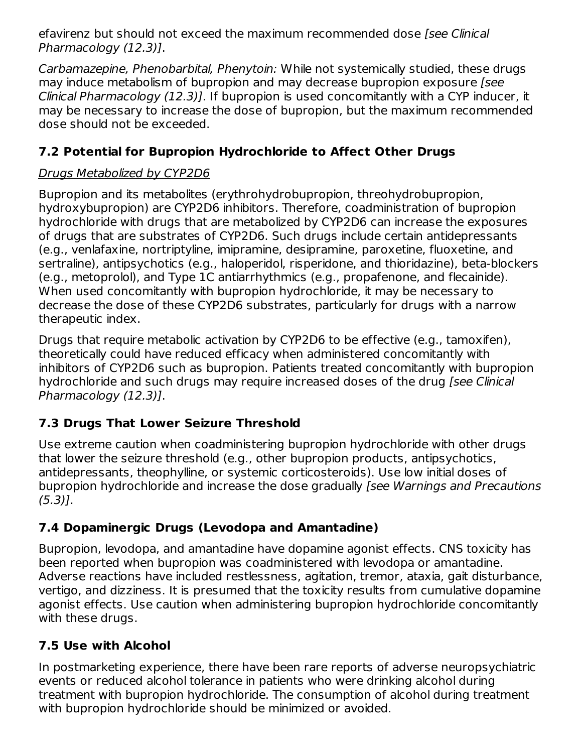efavirenz but should not exceed the maximum recommended dose *[see Clinical*] Pharmacology (12.3)].

Carbamazepine, Phenobarbital, Phenytoin: While not systemically studied, these drugs may induce metabolism of bupropion and may decrease bupropion exposure [see Clinical Pharmacology (12.3)]. If bupropion is used concomitantly with a CYP inducer, it may be necessary to increase the dose of bupropion, but the maximum recommended dose should not be exceeded.

# **7.2 Potential for Bupropion Hydrochloride to Affect Other Drugs**

# Drugs Metabolized by CYP2D6

Bupropion and its metabolites (erythrohydrobupropion, threohydrobupropion, hydroxybupropion) are CYP2D6 inhibitors. Therefore, coadministration of bupropion hydrochloride with drugs that are metabolized by CYP2D6 can increase the exposures of drugs that are substrates of CYP2D6. Such drugs include certain antidepressants (e.g., venlafaxine, nortriptyline, imipramine, desipramine, paroxetine, fluoxetine, and sertraline), antipsychotics (e.g., haloperidol, risperidone, and thioridazine), beta-blockers (e.g., metoprolol), and Type 1C antiarrhythmics (e.g., propafenone, and flecainide). When used concomitantly with bupropion hydrochloride, it may be necessary to decrease the dose of these CYP2D6 substrates, particularly for drugs with a narrow therapeutic index.

Drugs that require metabolic activation by CYP2D6 to be effective (e.g., tamoxifen), theoretically could have reduced efficacy when administered concomitantly with inhibitors of CYP2D6 such as bupropion. Patients treated concomitantly with bupropion hydrochloride and such drugs may require increased doses of the drug *[see Clinical*] Pharmacology (12.3)].

# **7.3 Drugs That Lower Seizure Threshold**

Use extreme caution when coadministering bupropion hydrochloride with other drugs that lower the seizure threshold (e.g., other bupropion products, antipsychotics, antidepressants, theophylline, or systemic corticosteroids). Use low initial doses of bupropion hydrochloride and increase the dose gradually [see Warnings and Precautions  $(5.3)$ ].

# **7.4 Dopaminergic Drugs (Levodopa and Amantadine)**

Bupropion, levodopa, and amantadine have dopamine agonist effects. CNS toxicity has been reported when bupropion was coadministered with levodopa or amantadine. Adverse reactions have included restlessness, agitation, tremor, ataxia, gait disturbance, vertigo, and dizziness. It is presumed that the toxicity results from cumulative dopamine agonist effects. Use caution when administering bupropion hydrochloride concomitantly with these drugs.

## **7.5 Use with Alcohol**

In postmarketing experience, there have been rare reports of adverse neuropsychiatric events or reduced alcohol tolerance in patients who were drinking alcohol during treatment with bupropion hydrochloride. The consumption of alcohol during treatment with bupropion hydrochloride should be minimized or avoided.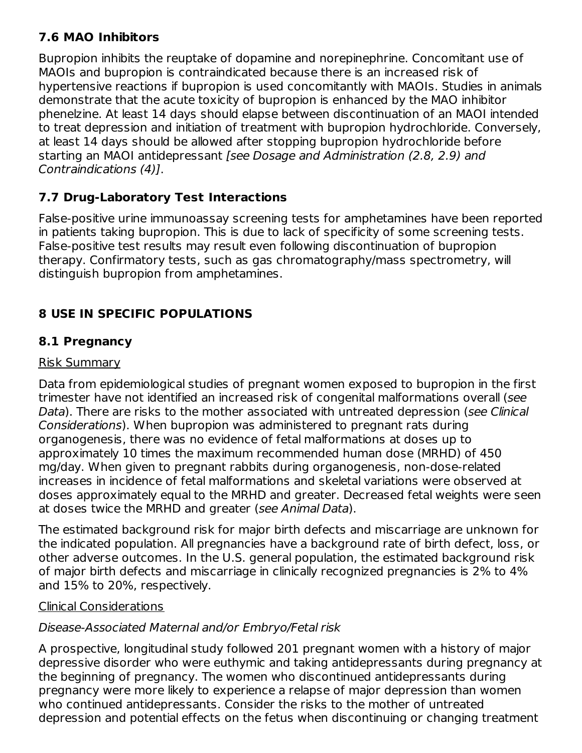### **7.6 MAO Inhibitors**

Bupropion inhibits the reuptake of dopamine and norepinephrine. Concomitant use of MAOIs and bupropion is contraindicated because there is an increased risk of hypertensive reactions if bupropion is used concomitantly with MAOIs. Studies in animals demonstrate that the acute toxicity of bupropion is enhanced by the MAO inhibitor phenelzine. At least 14 days should elapse between discontinuation of an MAOI intended to treat depression and initiation of treatment with bupropion hydrochloride. Conversely, at least 14 days should be allowed after stopping bupropion hydrochloride before starting an MAOI antidepressant [see Dosage and Administration (2.8, 2.9) and Contraindications (4)].

# **7.7 Drug-Laboratory Test Interactions**

False-positive urine immunoassay screening tests for amphetamines have been reported in patients taking bupropion. This is due to lack of specificity of some screening tests. False-positive test results may result even following discontinuation of bupropion therapy. Confirmatory tests, such as gas chromatography/mass spectrometry, will distinguish bupropion from amphetamines.

# **8 USE IN SPECIFIC POPULATIONS**

# **8.1 Pregnancy**

### Risk Summary

Data from epidemiological studies of pregnant women exposed to bupropion in the first trimester have not identified an increased risk of congenital malformations overall (see Data). There are risks to the mother associated with untreated depression (see Clinical Considerations). When bupropion was administered to pregnant rats during organogenesis, there was no evidence of fetal malformations at doses up to approximately 10 times the maximum recommended human dose (MRHD) of 450 mg/day. When given to pregnant rabbits during organogenesis, non-dose-related increases in incidence of fetal malformations and skeletal variations were observed at doses approximately equal to the MRHD and greater. Decreased fetal weights were seen at doses twice the MRHD and greater (see Animal Data).

The estimated background risk for major birth defects and miscarriage are unknown for the indicated population. All pregnancies have a background rate of birth defect, loss, or other adverse outcomes. In the U.S. general population, the estimated background risk of major birth defects and miscarriage in clinically recognized pregnancies is 2% to 4% and 15% to 20%, respectively.

### Clinical Considerations

# Disease-Associated Maternal and/or Embryo/Fetal risk

A prospective, longitudinal study followed 201 pregnant women with a history of major depressive disorder who were euthymic and taking antidepressants during pregnancy at the beginning of pregnancy. The women who discontinued antidepressants during pregnancy were more likely to experience a relapse of major depression than women who continued antidepressants. Consider the risks to the mother of untreated depression and potential effects on the fetus when discontinuing or changing treatment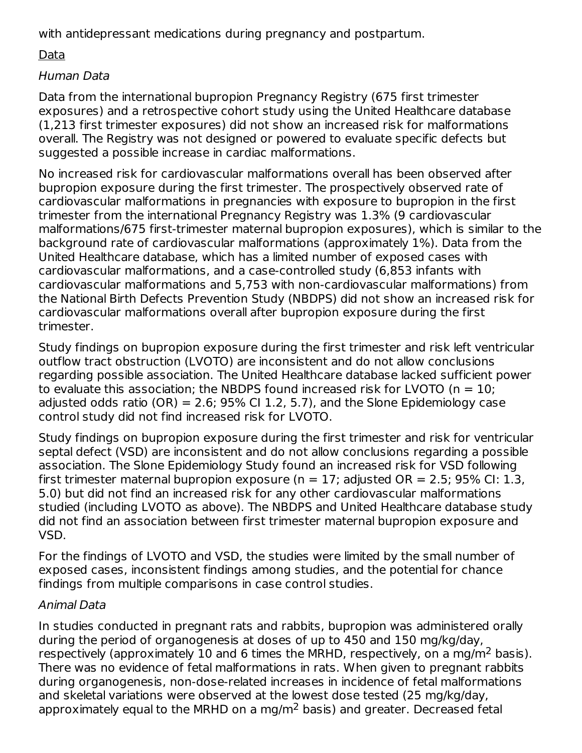with antidepressant medications during pregnancy and postpartum.

## Data

### Human Data

Data from the international bupropion Pregnancy Registry (675 first trimester exposures) and a retrospective cohort study using the United Healthcare database (1,213 first trimester exposures) did not show an increased risk for malformations overall. The Registry was not designed or powered to evaluate specific defects but suggested a possible increase in cardiac malformations.

No increased risk for cardiovascular malformations overall has been observed after bupropion exposure during the first trimester. The prospectively observed rate of cardiovascular malformations in pregnancies with exposure to bupropion in the first trimester from the international Pregnancy Registry was 1.3% (9 cardiovascular malformations/675 first-trimester maternal bupropion exposures), which is similar to the background rate of cardiovascular malformations (approximately 1%). Data from the United Healthcare database, which has a limited number of exposed cases with cardiovascular malformations, and a case-controlled study (6,853 infants with cardiovascular malformations and 5,753 with non-cardiovascular malformations) from the National Birth Defects Prevention Study (NBDPS) did not show an increased risk for cardiovascular malformations overall after bupropion exposure during the first trimester.

Study findings on bupropion exposure during the first trimester and risk left ventricular outflow tract obstruction (LVOTO) are inconsistent and do not allow conclusions regarding possible association. The United Healthcare database lacked sufficient power to evaluate this association; the NBDPS found increased risk for LVOTO ( $n = 10$ ; adjusted odds ratio  $(OR) = 2.6$ ; 95% CI 1.2, 5.7), and the Slone Epidemiology case control study did not find increased risk for LVOTO.

Study findings on bupropion exposure during the first trimester and risk for ventricular septal defect (VSD) are inconsistent and do not allow conclusions regarding a possible association. The Slone Epidemiology Study found an increased risk for VSD following first trimester maternal bupropion exposure ( $n = 17$ ; adjusted OR = 2.5; 95% CI: 1.3, 5.0) but did not find an increased risk for any other cardiovascular malformations studied (including LVOTO as above). The NBDPS and United Healthcare database study did not find an association between first trimester maternal bupropion exposure and VSD.

For the findings of LVOTO and VSD, the studies were limited by the small number of exposed cases, inconsistent findings among studies, and the potential for chance findings from multiple comparisons in case control studies.

### Animal Data

In studies conducted in pregnant rats and rabbits, bupropion was administered orally during the period of organogenesis at doses of up to 450 and 150 mg/kg/day, respectively (approximately 10 and 6 times the MRHD, respectively, on a mg/m<sup>2</sup> basis). There was no evidence of fetal malformations in rats. When given to pregnant rabbits during organogenesis, non-dose-related increases in incidence of fetal malformations and skeletal variations were observed at the lowest dose tested (25 mg/kg/day, approximately equal to the MRHD on a mg/m<sup>2</sup> basis) and greater. Decreased fetal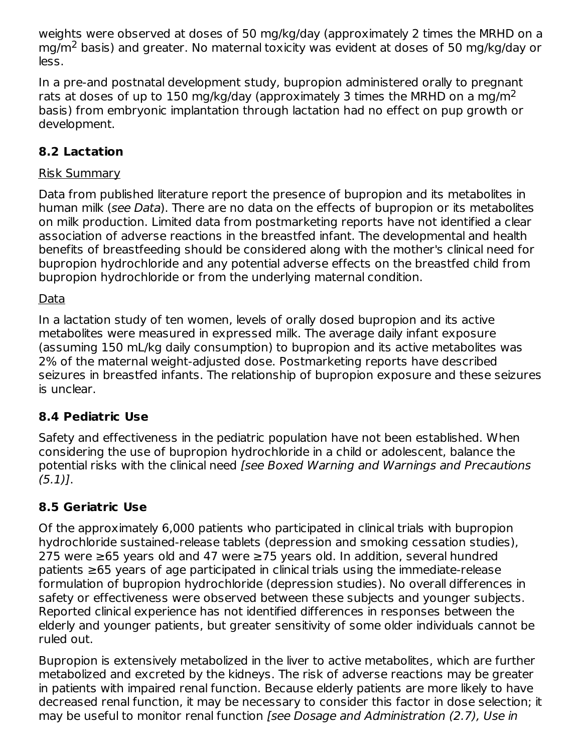weights were observed at doses of 50 mg/kg/day (approximately 2 times the MRHD on a mg/m<sup>2</sup> basis) and greater. No maternal toxicity was evident at doses of 50 mg/kg/day or less.

In a pre-and postnatal development study, bupropion administered orally to pregnant rats at doses of up to 150 mg/kg/day (approximately 3 times the MRHD on a mg/m<sup>2</sup> basis) from embryonic implantation through lactation had no effect on pup growth or development.

### **8.2 Lactation**

#### Risk Summary

Data from published literature report the presence of bupropion and its metabolites in human milk (see Data). There are no data on the effects of bupropion or its metabolites on milk production. Limited data from postmarketing reports have not identified a clear association of adverse reactions in the breastfed infant. The developmental and health benefits of breastfeeding should be considered along with the mother's clinical need for bupropion hydrochloride and any potential adverse effects on the breastfed child from bupropion hydrochloride or from the underlying maternal condition.

#### Data

In a lactation study of ten women, levels of orally dosed bupropion and its active metabolites were measured in expressed milk. The average daily infant exposure (assuming 150 mL/kg daily consumption) to bupropion and its active metabolites was 2% of the maternal weight-adjusted dose. Postmarketing reports have described seizures in breastfed infants. The relationship of bupropion exposure and these seizures is unclear.

### **8.4 Pediatric Use**

Safety and effectiveness in the pediatric population have not been established. When considering the use of bupropion hydrochloride in a child or adolescent, balance the potential risks with the clinical need [see Boxed Warning and Warnings and Precautions  $(5.1)$ .

## **8.5 Geriatric Use**

Of the approximately 6,000 patients who participated in clinical trials with bupropion hydrochloride sustained-release tablets (depression and smoking cessation studies), 275 were ≥65 years old and 47 were ≥75 years old. In addition, several hundred patients ≥65 years of age participated in clinical trials using the immediate-release formulation of bupropion hydrochloride (depression studies). No overall differences in safety or effectiveness were observed between these subjects and younger subjects. Reported clinical experience has not identified differences in responses between the elderly and younger patients, but greater sensitivity of some older individuals cannot be ruled out.

Bupropion is extensively metabolized in the liver to active metabolites, which are further metabolized and excreted by the kidneys. The risk of adverse reactions may be greater in patients with impaired renal function. Because elderly patients are more likely to have decreased renal function, it may be necessary to consider this factor in dose selection; it may be useful to monitor renal function [see Dosage and Administration (2.7), Use in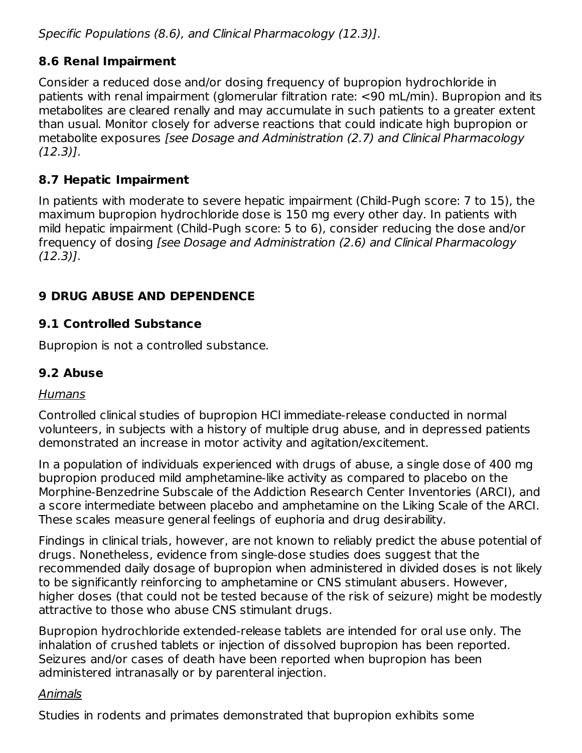Specific Populations (8.6), and Clinical Pharmacology (12.3)].

### **8.6 Renal Impairment**

Consider a reduced dose and/or dosing frequency of bupropion hydrochloride in patients with renal impairment (glomerular filtration rate: <90 mL/min). Bupropion and its metabolites are cleared renally and may accumulate in such patients to a greater extent than usual. Monitor closely for adverse reactions that could indicate high bupropion or metabolite exposures [see Dosage and Administration (2.7) and Clinical Pharmacology (12.3)].

### **8.7 Hepatic Impairment**

In patients with moderate to severe hepatic impairment (Child-Pugh score: 7 to 15), the maximum bupropion hydrochloride dose is 150 mg every other day. In patients with mild hepatic impairment (Child-Pugh score: 5 to 6), consider reducing the dose and/or frequency of dosing [see Dosage and Administration (2.6) and Clinical Pharmacology (12.3)].

## **9 DRUG ABUSE AND DEPENDENCE**

### **9.1 Controlled Substance**

Bupropion is not a controlled substance.

### **9.2 Abuse**

#### Humans

Controlled clinical studies of bupropion HCl immediate-release conducted in normal volunteers, in subjects with a history of multiple drug abuse, and in depressed patients demonstrated an increase in motor activity and agitation/excitement.

In a population of individuals experienced with drugs of abuse, a single dose of 400 mg bupropion produced mild amphetamine-like activity as compared to placebo on the Morphine-Benzedrine Subscale of the Addiction Research Center Inventories (ARCI), and a score intermediate between placebo and amphetamine on the Liking Scale of the ARCI. These scales measure general feelings of euphoria and drug desirability.

Findings in clinical trials, however, are not known to reliably predict the abuse potential of drugs. Nonetheless, evidence from single-dose studies does suggest that the recommended daily dosage of bupropion when administered in divided doses is not likely to be significantly reinforcing to amphetamine or CNS stimulant abusers. However, higher doses (that could not be tested because of the risk of seizure) might be modestly attractive to those who abuse CNS stimulant drugs.

Bupropion hydrochloride extended-release tablets are intended for oral use only. The inhalation of crushed tablets or injection of dissolved bupropion has been reported. Seizures and/or cases of death have been reported when bupropion has been administered intranasally or by parenteral injection.

#### Animals

Studies in rodents and primates demonstrated that bupropion exhibits some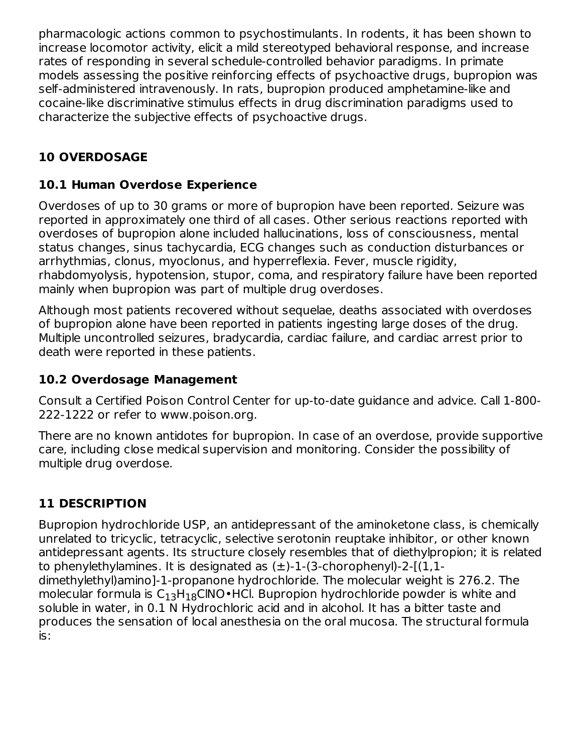pharmacologic actions common to psychostimulants. In rodents, it has been shown to increase locomotor activity, elicit a mild stereotyped behavioral response, and increase rates of responding in several schedule-controlled behavior paradigms. In primate models assessing the positive reinforcing effects of psychoactive drugs, bupropion was self-administered intravenously. In rats, bupropion produced amphetamine-like and cocaine-like discriminative stimulus effects in drug discrimination paradigms used to characterize the subjective effects of psychoactive drugs.

# **10 OVERDOSAGE**

### **10.1 Human Overdose Experience**

Overdoses of up to 30 grams or more of bupropion have been reported. Seizure was reported in approximately one third of all cases. Other serious reactions reported with overdoses of bupropion alone included hallucinations, loss of consciousness, mental status changes, sinus tachycardia, ECG changes such as conduction disturbances or arrhythmias, clonus, myoclonus, and hyperreflexia. Fever, muscle rigidity, rhabdomyolysis, hypotension, stupor, coma, and respiratory failure have been reported mainly when bupropion was part of multiple drug overdoses.

Although most patients recovered without sequelae, deaths associated with overdoses of bupropion alone have been reported in patients ingesting large doses of the drug. Multiple uncontrolled seizures, bradycardia, cardiac failure, and cardiac arrest prior to death were reported in these patients.

### **10.2 Overdosage Management**

Consult a Certified Poison Control Center for up-to-date guidance and advice. Call 1-800- 222-1222 or refer to www.poison.org.

There are no known antidotes for bupropion. In case of an overdose, provide supportive care, including close medical supervision and monitoring. Consider the possibility of multiple drug overdose.

# **11 DESCRIPTION**

Bupropion hydrochloride USP, an antidepressant of the aminoketone class, is chemically unrelated to tricyclic, tetracyclic, selective serotonin reuptake inhibitor, or other known antidepressant agents. Its structure closely resembles that of diethylpropion; it is related to phenylethylamines. It is designated as  $(\pm)$ -1-(3-chorophenyl)-2- $(1,1$ dimethylethyl)amino]-1-propanone hydrochloride. The molecular weight is 276.2. The molecular formula is  $\mathsf{C}_{13}\mathsf{H}_{18}\mathsf{C}$ INO•HCl. Bupropion hydrochloride powder is white and soluble in water, in 0.1 N Hydrochloric acid and in alcohol. It has a bitter taste and produces the sensation of local anesthesia on the oral mucosa. The structural formula is: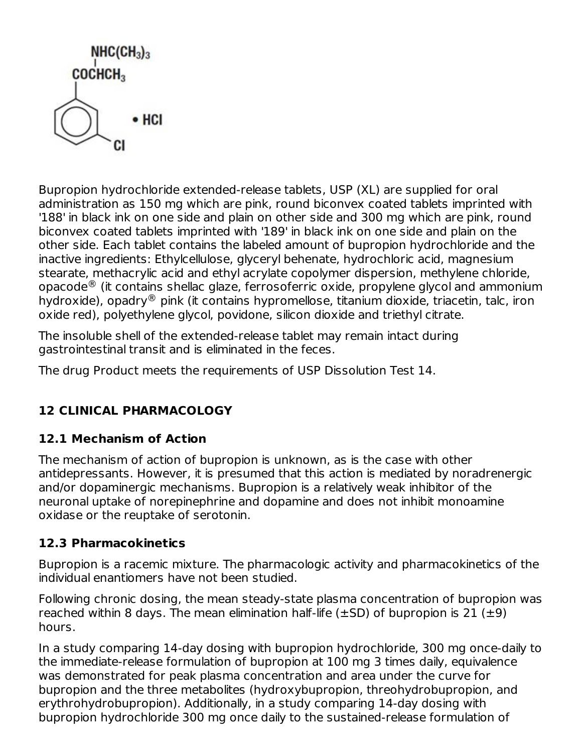

Bupropion hydrochloride extended-release tablets, USP (XL) are supplied for oral administration as 150 mg which are pink, round biconvex coated tablets imprinted with '188' in black ink on one side and plain on other side and 300 mg which are pink, round biconvex coated tablets imprinted with '189' in black ink on one side and plain on the other side. Each tablet contains the labeled amount of bupropion hydrochloride and the inactive ingredients: Ethylcellulose, glyceryl behenate, hydrochloric acid, magnesium stearate, methacrylic acid and ethyl acrylate copolymer dispersion, methylene chloride, opacode $^\circledR$  (it contains shellac glaze, ferrosoferric oxide, propylene glycol and ammonium hydroxide), opadry $^\circledR$  pink (it contains hypromellose, titanium dioxide, triacetin, talc, iron oxide red), polyethylene glycol, povidone, silicon dioxide and triethyl citrate.

The insoluble shell of the extended-release tablet may remain intact during gastrointestinal transit and is eliminated in the feces.

The drug Product meets the requirements of USP Dissolution Test 14.

# **12 CLINICAL PHARMACOLOGY**

# **12.1 Mechanism of Action**

The mechanism of action of bupropion is unknown, as is the case with other antidepressants. However, it is presumed that this action is mediated by noradrenergic and/or dopaminergic mechanisms. Bupropion is a relatively weak inhibitor of the neuronal uptake of norepinephrine and dopamine and does not inhibit monoamine oxidase or the reuptake of serotonin.

# **12.3 Pharmacokinetics**

Bupropion is a racemic mixture. The pharmacologic activity and pharmacokinetics of the individual enantiomers have not been studied.

Following chronic dosing, the mean steady-state plasma concentration of bupropion was reached within 8 days. The mean elimination half-life ( $\pm$ SD) of bupropion is 21 ( $\pm$ 9) hours.

In a study comparing 14-day dosing with bupropion hydrochloride, 300 mg once-daily to the immediate-release formulation of bupropion at 100 mg 3 times daily, equivalence was demonstrated for peak plasma concentration and area under the curve for bupropion and the three metabolites (hydroxybupropion, threohydrobupropion, and erythrohydrobupropion). Additionally, in a study comparing 14-day dosing with bupropion hydrochloride 300 mg once daily to the sustained-release formulation of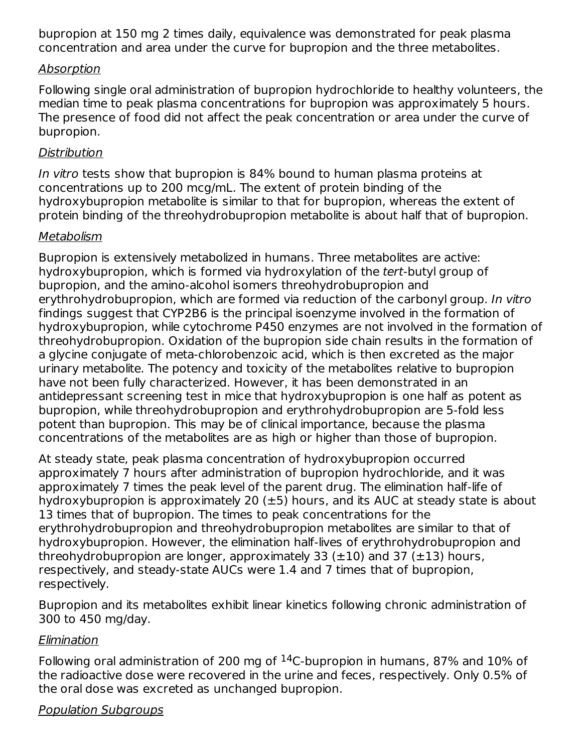bupropion at 150 mg 2 times daily, equivalence was demonstrated for peak plasma concentration and area under the curve for bupropion and the three metabolites.

#### Absorption

Following single oral administration of bupropion hydrochloride to healthy volunteers, the median time to peak plasma concentrations for bupropion was approximately 5 hours. The presence of food did not affect the peak concentration or area under the curve of bupropion.

#### **Distribution**

In vitro tests show that bupropion is 84% bound to human plasma proteins at concentrations up to 200 mcg/mL. The extent of protein binding of the hydroxybupropion metabolite is similar to that for bupropion, whereas the extent of protein binding of the threohydrobupropion metabolite is about half that of bupropion.

### Metabolism

Bupropion is extensively metabolized in humans. Three metabolites are active: hydroxybupropion, which is formed via hydroxylation of the tert-butyl group of bupropion, and the amino-alcohol isomers threohydrobupropion and erythrohydrobupropion, which are formed via reduction of the carbonyl group. In vitro findings suggest that CYP2B6 is the principal isoenzyme involved in the formation of hydroxybupropion, while cytochrome P450 enzymes are not involved in the formation of threohydrobupropion. Oxidation of the bupropion side chain results in the formation of a glycine conjugate of meta-chlorobenzoic acid, which is then excreted as the major urinary metabolite. The potency and toxicity of the metabolites relative to bupropion have not been fully characterized. However, it has been demonstrated in an antidepressant screening test in mice that hydroxybupropion is one half as potent as bupropion, while threohydrobupropion and erythrohydrobupropion are 5-fold less potent than bupropion. This may be of clinical importance, because the plasma concentrations of the metabolites are as high or higher than those of bupropion.

At steady state, peak plasma concentration of hydroxybupropion occurred approximately 7 hours after administration of bupropion hydrochloride, and it was approximately 7 times the peak level of the parent drug. The elimination half-life of hydroxybupropion is approximately 20  $(\pm 5)$  hours, and its AUC at steady state is about 13 times that of bupropion. The times to peak concentrations for the erythrohydrobupropion and threohydrobupropion metabolites are similar to that of hydroxybupropion. However, the elimination half-lives of erythrohydrobupropion and threohydrobupropion are longer, approximately 33 ( $\pm$ 10) and 37 ( $\pm$ 13) hours, respectively, and steady-state AUCs were 1.4 and 7 times that of bupropion, respectively.

Bupropion and its metabolites exhibit linear kinetics following chronic administration of 300 to 450 mg/day.

### **Elimination**

Following oral administration of 200 mg of  $^{14}$ C-bupropion in humans, 87% and 10% of the radioactive dose were recovered in the urine and feces, respectively. Only 0.5% of the oral dose was excreted as unchanged bupropion.

### Population Subgroups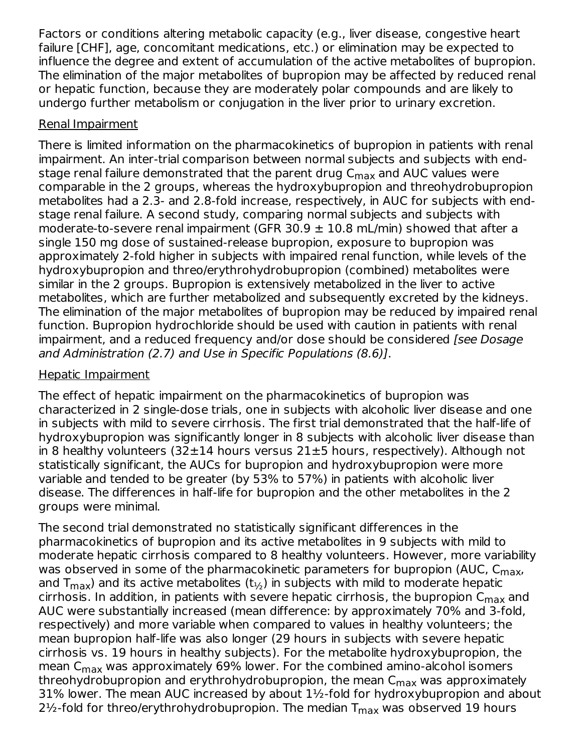Factors or conditions altering metabolic capacity (e.g., liver disease, congestive heart failure [CHF], age, concomitant medications, etc.) or elimination may be expected to influence the degree and extent of accumulation of the active metabolites of bupropion. The elimination of the major metabolites of bupropion may be affected by reduced renal or hepatic function, because they are moderately polar compounds and are likely to undergo further metabolism or conjugation in the liver prior to urinary excretion.

### Renal Impairment

There is limited information on the pharmacokinetics of bupropion in patients with renal impairment. An inter-trial comparison between normal subjects and subjects with endstage renal failure demonstrated that the parent drug C<sub>max</sub> and AUC values were comparable in the 2 groups, whereas the hydroxybupropion and threohydrobupropion metabolites had a 2.3- and 2.8-fold increase, respectively, in AUC for subjects with endstage renal failure. A second study, comparing normal subjects and subjects with moderate-to-severe renal impairment (GFR 30.9  $\pm$  10.8 mL/min) showed that after a single 150 mg dose of sustained-release bupropion, exposure to bupropion was approximately 2-fold higher in subjects with impaired renal function, while levels of the hydroxybupropion and threo/erythrohydrobupropion (combined) metabolites were similar in the 2 groups. Bupropion is extensively metabolized in the liver to active metabolites, which are further metabolized and subsequently excreted by the kidneys. The elimination of the major metabolites of bupropion may be reduced by impaired renal function. Bupropion hydrochloride should be used with caution in patients with renal impairment, and a reduced frequency and/or dose should be considered *[see Dosage*] and Administration (2.7) and Use in Specific Populations (8.6)].

### Hepatic Impairment

The effect of hepatic impairment on the pharmacokinetics of bupropion was characterized in 2 single-dose trials, one in subjects with alcoholic liver disease and one in subjects with mild to severe cirrhosis. The first trial demonstrated that the half-life of hydroxybupropion was significantly longer in 8 subjects with alcoholic liver disease than in 8 healthy volunteers  $(32\pm14$  hours versus  $21\pm5$  hours, respectively). Although not statistically significant, the AUCs for bupropion and hydroxybupropion were more variable and tended to be greater (by 53% to 57%) in patients with alcoholic liver disease. The differences in half-life for bupropion and the other metabolites in the 2 groups were minimal.

The second trial demonstrated no statistically significant differences in the pharmacokinetics of bupropion and its active metabolites in 9 subjects with mild to moderate hepatic cirrhosis compared to 8 healthy volunteers. However, more variability was observed in some of the pharmacokinetic parameters for bupropion (AUC, C<sub>max</sub>, and T $_{\sf max}$ ) and its active metabolites (t $_{\rm \gamma_2}$ ) in subjects with mild to moderate hepatic cirrhosis. In addition, in patients with severe hepatic cirrhosis, the bupropion  ${\sf C}_{\sf max}$  and AUC were substantially increased (mean difference: by approximately 70% and 3-fold, respectively) and more variable when compared to values in healthy volunteers; the mean bupropion half-life was also longer (29 hours in subjects with severe hepatic cirrhosis vs. 19 hours in healthy subjects). For the metabolite hydroxybupropion, the mean C $_{\sf max}$  was approximately 69% lower. For the combined amino-alcohol isomers threohydrobupropion and erythrohydrobupropion, the mean C<sub>max</sub> was approximately 31% lower. The mean AUC increased by about  $1\frac{1}{2}$ -fold for hydroxybupropion and about 2½-fold for threo/erythrohydrobupropion. The median  $\mathsf{T}_{\mathsf{max}}$  was observed 19 hours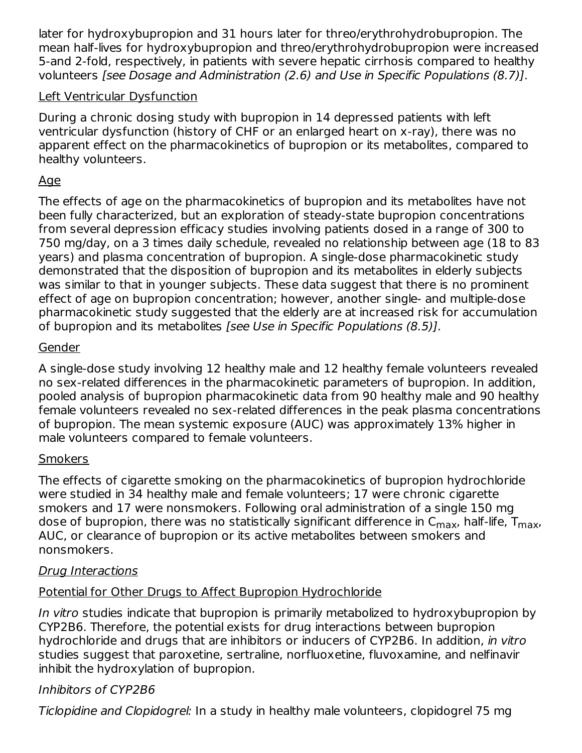later for hydroxybupropion and 31 hours later for threo/erythrohydrobupropion. The mean half-lives for hydroxybupropion and threo/erythrohydrobupropion were increased 5-and 2-fold, respectively, in patients with severe hepatic cirrhosis compared to healthy volunteers [see Dosage and Administration (2.6) and Use in Specific Populations (8.7)].

#### Left Ventricular Dysfunction

During a chronic dosing study with bupropion in 14 depressed patients with left ventricular dysfunction (history of CHF or an enlarged heart on x-ray), there was no apparent effect on the pharmacokinetics of bupropion or its metabolites, compared to healthy volunteers.

### Age

The effects of age on the pharmacokinetics of bupropion and its metabolites have not been fully characterized, but an exploration of steady-state bupropion concentrations from several depression efficacy studies involving patients dosed in a range of 300 to 750 mg/day, on a 3 times daily schedule, revealed no relationship between age (18 to 83 years) and plasma concentration of bupropion. A single-dose pharmacokinetic study demonstrated that the disposition of bupropion and its metabolites in elderly subjects was similar to that in younger subjects. These data suggest that there is no prominent effect of age on bupropion concentration; however, another single- and multiple-dose pharmacokinetic study suggested that the elderly are at increased risk for accumulation of bupropion and its metabolites [see Use in Specific Populations (8.5)].

### Gender

A single-dose study involving 12 healthy male and 12 healthy female volunteers revealed no sex-related differences in the pharmacokinetic parameters of bupropion. In addition, pooled analysis of bupropion pharmacokinetic data from 90 healthy male and 90 healthy female volunteers revealed no sex-related differences in the peak plasma concentrations of bupropion. The mean systemic exposure (AUC) was approximately 13% higher in male volunteers compared to female volunteers.

### **Smokers**

The effects of cigarette smoking on the pharmacokinetics of bupropion hydrochloride were studied in 34 healthy male and female volunteers; 17 were chronic cigarette smokers and 17 were nonsmokers. Following oral administration of a single 150 mg dose of bupropion, there was no statistically significant difference in C<sub>max</sub>, half-life, T<sub>max</sub>, AUC, or clearance of bupropion or its active metabolites between smokers and nonsmokers.

### Drug Interactions

## Potential for Other Drugs to Affect Bupropion Hydrochloride

In vitro studies indicate that bupropion is primarily metabolized to hydroxybupropion by CYP2B6. Therefore, the potential exists for drug interactions between bupropion hydrochloride and drugs that are inhibitors or inducers of CYP2B6. In addition, in vitro studies suggest that paroxetine, sertraline, norfluoxetine, fluvoxamine, and nelfinavir inhibit the hydroxylation of bupropion.

### Inhibitors of CYP2B6

Ticlopidine and Clopidogrel: In a study in healthy male volunteers, clopidogrel 75 mg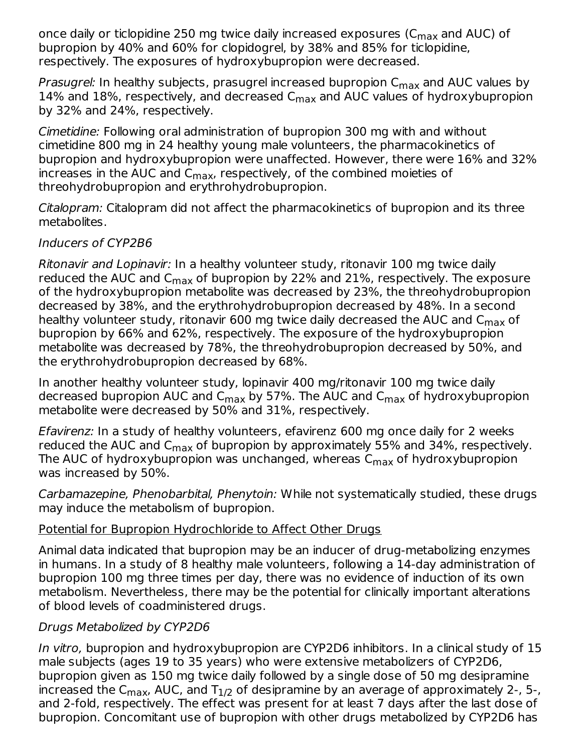once daily or ticlopidine 250 mg twice daily increased exposures (C<sub>max</sub> and AUC) of bupropion by 40% and 60% for clopidogrel, by 38% and 85% for ticlopidine, respectively. The exposures of hydroxybupropion were decreased.

*Prasugrel:* In healthy subjects, prasugrel increased bupropion C<sub>max</sub> and AUC values by 14% and 18%, respectively, and decreased C $_{\sf max}$  and AUC values of hydroxybupropion by 32% and 24%, respectively.

Cimetidine: Following oral administration of bupropion 300 mg with and without cimetidine 800 mg in 24 healthy young male volunteers, the pharmacokinetics of bupropion and hydroxybupropion were unaffected. However, there were 16% and 32% increases in the AUC and C<sub>max</sub>, respectively, of the combined moieties of threohydrobupropion and erythrohydrobupropion.

Citalopram: Citalopram did not affect the pharmacokinetics of bupropion and its three metabolites.

### Inducers of CYP2B6

Ritonavir and Lopinavir: In a healthy volunteer study, ritonavir 100 mg twice daily reduced the AUC and C<sub>max</sub> of bupropion by 22% and 21%, respectively. The exposure of the hydroxybupropion metabolite was decreased by 23%, the threohydrobupropion decreased by 38%, and the erythrohydrobupropion decreased by 48%. In a second healthy volunteer study, ritonavir 600 mg twice daily decreased the AUC and C<sub>max</sub> of bupropion by 66% and 62%, respectively. The exposure of the hydroxybupropion metabolite was decreased by 78%, the threohydrobupropion decreased by 50%, and the erythrohydrobupropion decreased by 68%.

In another healthy volunteer study, lopinavir 400 mg/ritonavir 100 mg twice daily decreased bupropion AUC and C<sub>max</sub> by 57%. The AUC and C<sub>max</sub> of hydroxybupropion metabolite were decreased by 50% and 31%, respectively.

Efavirenz: In a study of healthy volunteers, efavirenz 600 mg once daily for 2 weeks reduced the AUC and C<sub>max</sub> of bupropion by approximately 55% and 34%, respectively. The AUC of hydroxybupropion was unchanged, whereas C<sub>max</sub> of hydroxybupropion was increased by 50%.

Carbamazepine, Phenobarbital, Phenytoin: While not systematically studied, these drugs may induce the metabolism of bupropion.

### Potential for Bupropion Hydrochloride to Affect Other Drugs

Animal data indicated that bupropion may be an inducer of drug-metabolizing enzymes in humans. In a study of 8 healthy male volunteers, following a 14-day administration of bupropion 100 mg three times per day, there was no evidence of induction of its own metabolism. Nevertheless, there may be the potential for clinically important alterations of blood levels of coadministered drugs.

### Drugs Metabolized by CYP2D6

In vitro, bupropion and hydroxybupropion are CYP2D6 inhibitors. In a clinical study of 15 male subjects (ages 19 to 35 years) who were extensive metabolizers of CYP2D6, bupropion given as 150 mg twice daily followed by a single dose of 50 mg desipramine increased the C<sub>max</sub>, AUC, and T $_{1/2}$  of desipramine by an average of approximately 2-, 5-, and 2-fold, respectively. The effect was present for at least 7 days after the last dose of bupropion. Concomitant use of bupropion with other drugs metabolized by CYP2D6 has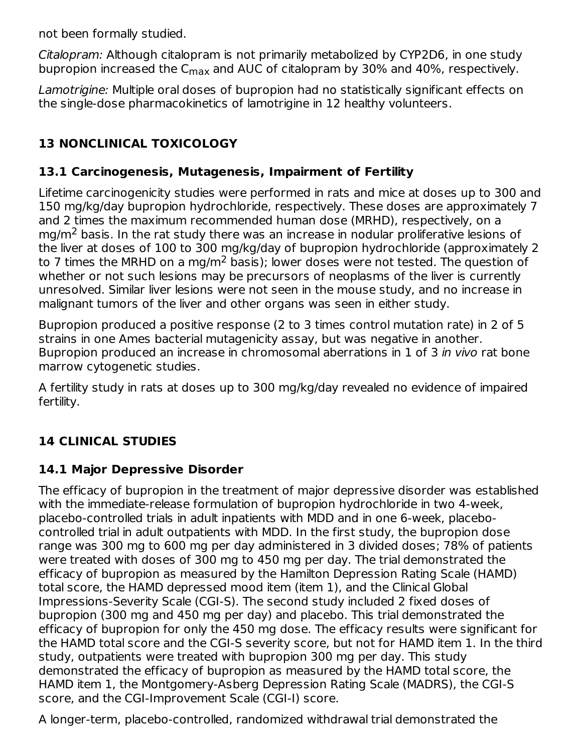not been formally studied.

Citalopram: Although citalopram is not primarily metabolized by CYP2D6, in one study bupropion increased the  $\mathsf{C}_{\mathsf{max}}$  and AUC of citalopram by 30% and 40%, respectively.

Lamotrigine: Multiple oral doses of bupropion had no statistically significant effects on the single-dose pharmacokinetics of lamotrigine in 12 healthy volunteers.

# **13 NONCLINICAL TOXICOLOGY**

### **13.1 Carcinogenesis, Mutagenesis, Impairment of Fertility**

Lifetime carcinogenicity studies were performed in rats and mice at doses up to 300 and 150 mg/kg/day bupropion hydrochloride, respectively. These doses are approximately 7 and 2 times the maximum recommended human dose (MRHD), respectively, on a mg/m<sup>2</sup> basis. In the rat study there was an increase in nodular proliferative lesions of the liver at doses of 100 to 300 mg/kg/day of bupropion hydrochloride (approximately 2 to 7 times the MRHD on a mg/m<sup>2</sup> basis); lower doses were not tested. The question of whether or not such lesions may be precursors of neoplasms of the liver is currently unresolved. Similar liver lesions were not seen in the mouse study, and no increase in malignant tumors of the liver and other organs was seen in either study.

Bupropion produced a positive response (2 to 3 times control mutation rate) in 2 of 5 strains in one Ames bacterial mutagenicity assay, but was negative in another. Bupropion produced an increase in chromosomal aberrations in 1 of 3 in vivo rat bone marrow cytogenetic studies.

A fertility study in rats at doses up to 300 mg/kg/day revealed no evidence of impaired fertility.

# **14 CLINICAL STUDIES**

## **14.1 Major Depressive Disorder**

The efficacy of bupropion in the treatment of major depressive disorder was established with the immediate-release formulation of bupropion hydrochloride in two 4-week, placebo-controlled trials in adult inpatients with MDD and in one 6-week, placebocontrolled trial in adult outpatients with MDD. In the first study, the bupropion dose range was 300 mg to 600 mg per day administered in 3 divided doses; 78% of patients were treated with doses of 300 mg to 450 mg per day. The trial demonstrated the efficacy of bupropion as measured by the Hamilton Depression Rating Scale (HAMD) total score, the HAMD depressed mood item (item 1), and the Clinical Global Impressions-Severity Scale (CGI-S). The second study included 2 fixed doses of bupropion (300 mg and 450 mg per day) and placebo. This trial demonstrated the efficacy of bupropion for only the 450 mg dose. The efficacy results were significant for the HAMD total score and the CGI-S severity score, but not for HAMD item 1. In the third study, outpatients were treated with bupropion 300 mg per day. This study demonstrated the efficacy of bupropion as measured by the HAMD total score, the HAMD item 1, the Montgomery-Asberg Depression Rating Scale (MADRS), the CGI-S score, and the CGI-Improvement Scale (CGI-I) score.

A longer-term, placebo-controlled, randomized withdrawal trial demonstrated the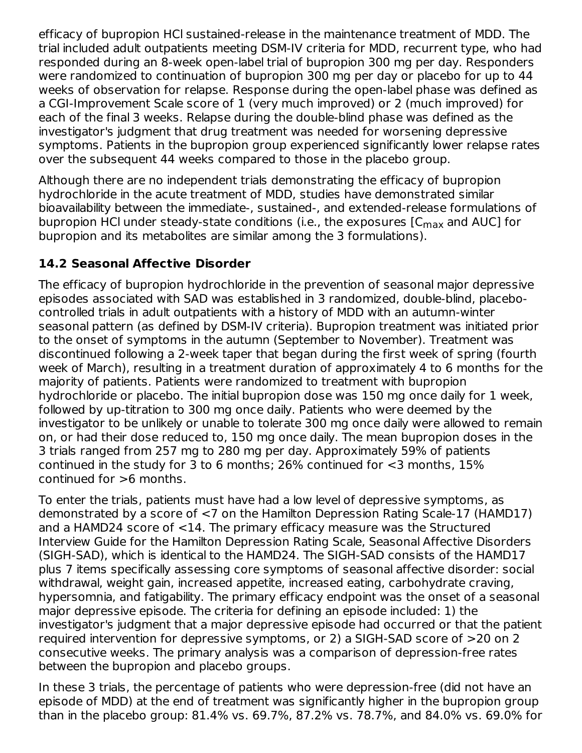efficacy of bupropion HCl sustained-release in the maintenance treatment of MDD. The trial included adult outpatients meeting DSM-IV criteria for MDD, recurrent type, who had responded during an 8-week open-label trial of bupropion 300 mg per day. Responders were randomized to continuation of bupropion 300 mg per day or placebo for up to 44 weeks of observation for relapse. Response during the open-label phase was defined as a CGI-Improvement Scale score of 1 (very much improved) or 2 (much improved) for each of the final 3 weeks. Relapse during the double-blind phase was defined as the investigator's judgment that drug treatment was needed for worsening depressive symptoms. Patients in the bupropion group experienced significantly lower relapse rates over the subsequent 44 weeks compared to those in the placebo group.

Although there are no independent trials demonstrating the efficacy of bupropion hydrochloride in the acute treatment of MDD, studies have demonstrated similar bioavailability between the immediate-, sustained-, and extended-release formulations of bupropion HCl under steady-state conditions (i.e., the exposures [C<sub>max</sub> and AUC] for bupropion and its metabolites are similar among the 3 formulations).

## **14.2 Seasonal Affective Disorder**

The efficacy of bupropion hydrochloride in the prevention of seasonal major depressive episodes associated with SAD was established in 3 randomized, double-blind, placebocontrolled trials in adult outpatients with a history of MDD with an autumn-winter seasonal pattern (as defined by DSM-IV criteria). Bupropion treatment was initiated prior to the onset of symptoms in the autumn (September to November). Treatment was discontinued following a 2-week taper that began during the first week of spring (fourth week of March), resulting in a treatment duration of approximately 4 to 6 months for the majority of patients. Patients were randomized to treatment with bupropion hydrochloride or placebo. The initial bupropion dose was 150 mg once daily for 1 week, followed by up-titration to 300 mg once daily. Patients who were deemed by the investigator to be unlikely or unable to tolerate 300 mg once daily were allowed to remain on, or had their dose reduced to, 150 mg once daily. The mean bupropion doses in the 3 trials ranged from 257 mg to 280 mg per day. Approximately 59% of patients continued in the study for 3 to 6 months; 26% continued for <3 months, 15% continued for >6 months.

To enter the trials, patients must have had a low level of depressive symptoms, as demonstrated by a score of <7 on the Hamilton Depression Rating Scale-17 (HAMD17) and a HAMD24 score of <14. The primary efficacy measure was the Structured Interview Guide for the Hamilton Depression Rating Scale, Seasonal Affective Disorders (SIGH-SAD), which is identical to the HAMD24. The SIGH-SAD consists of the HAMD17 plus 7 items specifically assessing core symptoms of seasonal affective disorder: social withdrawal, weight gain, increased appetite, increased eating, carbohydrate craving, hypersomnia, and fatigability. The primary efficacy endpoint was the onset of a seasonal major depressive episode. The criteria for defining an episode included: 1) the investigator's judgment that a major depressive episode had occurred or that the patient required intervention for depressive symptoms, or 2) a SIGH-SAD score of >20 on 2 consecutive weeks. The primary analysis was a comparison of depression-free rates between the bupropion and placebo groups.

In these 3 trials, the percentage of patients who were depression-free (did not have an episode of MDD) at the end of treatment was significantly higher in the bupropion group than in the placebo group: 81.4% vs. 69.7%, 87.2% vs. 78.7%, and 84.0% vs. 69.0% for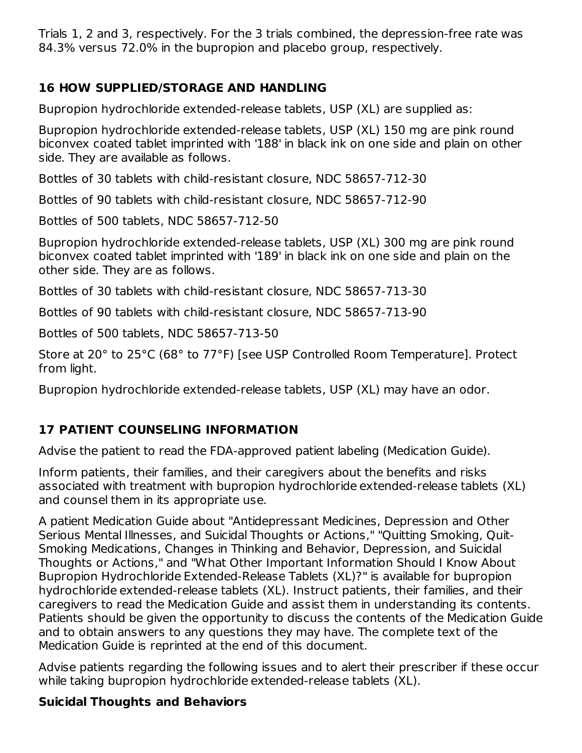Trials 1, 2 and 3, respectively. For the 3 trials combined, the depression-free rate was 84.3% versus 72.0% in the bupropion and placebo group, respectively.

### **16 HOW SUPPLIED/STORAGE AND HANDLING**

Bupropion hydrochloride extended-release tablets, USP (XL) are supplied as:

Bupropion hydrochloride extended-release tablets, USP (XL) 150 mg are pink round biconvex coated tablet imprinted with '188' in black ink on one side and plain on other side. They are available as follows.

Bottles of 30 tablets with child-resistant closure, NDC 58657-712-30

Bottles of 90 tablets with child-resistant closure, NDC 58657-712-90

Bottles of 500 tablets, NDC 58657-712-50

Bupropion hydrochloride extended-release tablets, USP (XL) 300 mg are pink round biconvex coated tablet imprinted with '189' in black ink on one side and plain on the other side. They are as follows.

Bottles of 30 tablets with child-resistant closure, NDC 58657-713-30

Bottles of 90 tablets with child-resistant closure, NDC 58657-713-90

Bottles of 500 tablets, NDC 58657-713-50

Store at 20° to 25°C (68° to 77°F) [see USP Controlled Room Temperature]. Protect from light.

Bupropion hydrochloride extended-release tablets, USP (XL) may have an odor.

### **17 PATIENT COUNSELING INFORMATION**

Advise the patient to read the FDA-approved patient labeling (Medication Guide).

Inform patients, their families, and their caregivers about the benefits and risks associated with treatment with bupropion hydrochloride extended-release tablets (XL) and counsel them in its appropriate use.

A patient Medication Guide about "Antidepressant Medicines, Depression and Other Serious Mental Illnesses, and Suicidal Thoughts or Actions," "Quitting Smoking, Quit-Smoking Medications, Changes in Thinking and Behavior, Depression, and Suicidal Thoughts or Actions," and "What Other Important Information Should I Know About Bupropion Hydrochloride Extended-Release Tablets (XL)?" is available for bupropion hydrochloride extended-release tablets (XL). Instruct patients, their families, and their caregivers to read the Medication Guide and assist them in understanding its contents. Patients should be given the opportunity to discuss the contents of the Medication Guide and to obtain answers to any questions they may have. The complete text of the Medication Guide is reprinted at the end of this document.

Advise patients regarding the following issues and to alert their prescriber if these occur while taking bupropion hydrochloride extended-release tablets (XL).

### **Suicidal Thoughts and Behaviors**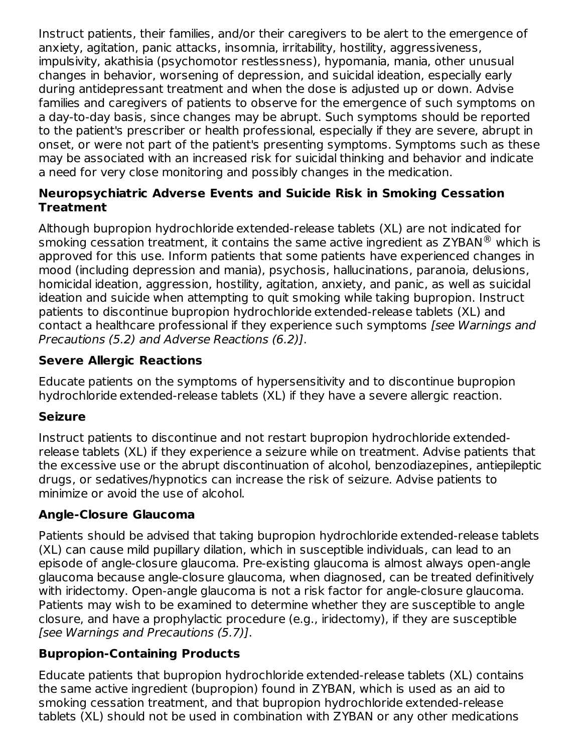Instruct patients, their families, and/or their caregivers to be alert to the emergence of anxiety, agitation, panic attacks, insomnia, irritability, hostility, aggressiveness, impulsivity, akathisia (psychomotor restlessness), hypomania, mania, other unusual changes in behavior, worsening of depression, and suicidal ideation, especially early during antidepressant treatment and when the dose is adjusted up or down. Advise families and caregivers of patients to observe for the emergence of such symptoms on a day-to-day basis, since changes may be abrupt. Such symptoms should be reported to the patient's prescriber or health professional, especially if they are severe, abrupt in onset, or were not part of the patient's presenting symptoms. Symptoms such as these may be associated with an increased risk for suicidal thinking and behavior and indicate a need for very close monitoring and possibly changes in the medication.

#### **Neuropsychiatric Adverse Events and Suicide Risk in Smoking Cessation Treatment**

Although bupropion hydrochloride extended-release tablets (XL) are not indicated for smoking cessation treatment, it contains the same active ingredient as ZYBAN $^\circledR$  which is approved for this use. Inform patients that some patients have experienced changes in mood (including depression and mania), psychosis, hallucinations, paranoia, delusions, homicidal ideation, aggression, hostility, agitation, anxiety, and panic, as well as suicidal ideation and suicide when attempting to quit smoking while taking bupropion. Instruct patients to discontinue bupropion hydrochloride extended-release tablets (XL) and contact a healthcare professional if they experience such symptoms [see Warnings and Precautions (5.2) and Adverse Reactions (6.2)].

### **Severe Allergic Reactions**

Educate patients on the symptoms of hypersensitivity and to discontinue bupropion hydrochloride extended-release tablets (XL) if they have a severe allergic reaction.

### **Seizure**

Instruct patients to discontinue and not restart bupropion hydrochloride extendedrelease tablets (XL) if they experience a seizure while on treatment. Advise patients that the excessive use or the abrupt discontinuation of alcohol, benzodiazepines, antiepileptic drugs, or sedatives/hypnotics can increase the risk of seizure. Advise patients to minimize or avoid the use of alcohol.

### **Angle-Closure Glaucoma**

Patients should be advised that taking bupropion hydrochloride extended-release tablets (XL) can cause mild pupillary dilation, which in susceptible individuals, can lead to an episode of angle-closure glaucoma. Pre-existing glaucoma is almost always open-angle glaucoma because angle-closure glaucoma, when diagnosed, can be treated definitively with iridectomy. Open-angle glaucoma is not a risk factor for angle-closure glaucoma. Patients may wish to be examined to determine whether they are susceptible to angle closure, and have a prophylactic procedure (e.g., iridectomy), if they are susceptible [see Warnings and Precautions (5.7)].

### **Bupropion-Containing Products**

Educate patients that bupropion hydrochloride extended-release tablets (XL) contains the same active ingredient (bupropion) found in ZYBAN, which is used as an aid to smoking cessation treatment, and that bupropion hydrochloride extended-release tablets (XL) should not be used in combination with ZYBAN or any other medications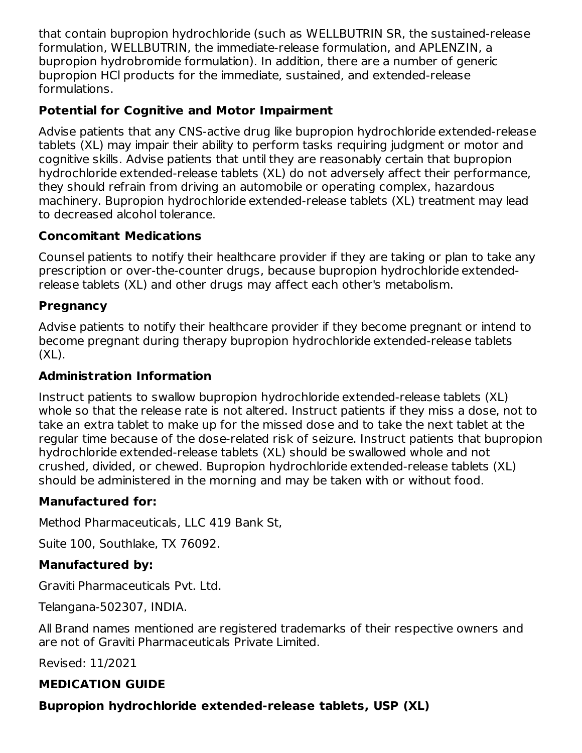that contain bupropion hydrochloride (such as WELLBUTRIN SR, the sustained-release formulation, WELLBUTRIN, the immediate-release formulation, and APLENZIN, a bupropion hydrobromide formulation). In addition, there are a number of generic bupropion HCl products for the immediate, sustained, and extended-release formulations.

### **Potential for Cognitive and Motor Impairment**

Advise patients that any CNS-active drug like bupropion hydrochloride extended-release tablets (XL) may impair their ability to perform tasks requiring judgment or motor and cognitive skills. Advise patients that until they are reasonably certain that bupropion hydrochloride extended-release tablets (XL) do not adversely affect their performance, they should refrain from driving an automobile or operating complex, hazardous machinery. Bupropion hydrochloride extended-release tablets (XL) treatment may lead to decreased alcohol tolerance.

### **Concomitant Medications**

Counsel patients to notify their healthcare provider if they are taking or plan to take any prescription or over-the-counter drugs, because bupropion hydrochloride extendedrelease tablets (XL) and other drugs may affect each other's metabolism.

### **Pregnancy**

Advise patients to notify their healthcare provider if they become pregnant or intend to become pregnant during therapy bupropion hydrochloride extended-release tablets  $(XL)$ .

#### **Administration Information**

Instruct patients to swallow bupropion hydrochloride extended-release tablets (XL) whole so that the release rate is not altered. Instruct patients if they miss a dose, not to take an extra tablet to make up for the missed dose and to take the next tablet at the regular time because of the dose-related risk of seizure. Instruct patients that bupropion hydrochloride extended-release tablets (XL) should be swallowed whole and not crushed, divided, or chewed. Bupropion hydrochloride extended-release tablets (XL) should be administered in the morning and may be taken with or without food.

### **Manufactured for:**

Method Pharmaceuticals, LLC 419 Bank St,

Suite 100, Southlake, TX 76092.

### **Manufactured by:**

Graviti Pharmaceuticals Pvt. Ltd.

Telangana-502307, INDIA.

All Brand names mentioned are registered trademarks of their respective owners and are not of Graviti Pharmaceuticals Private Limited.

Revised: 11/2021

### **MEDICATION GUIDE**

### **Bupropion hydrochloride extended-release tablets, USP (XL)**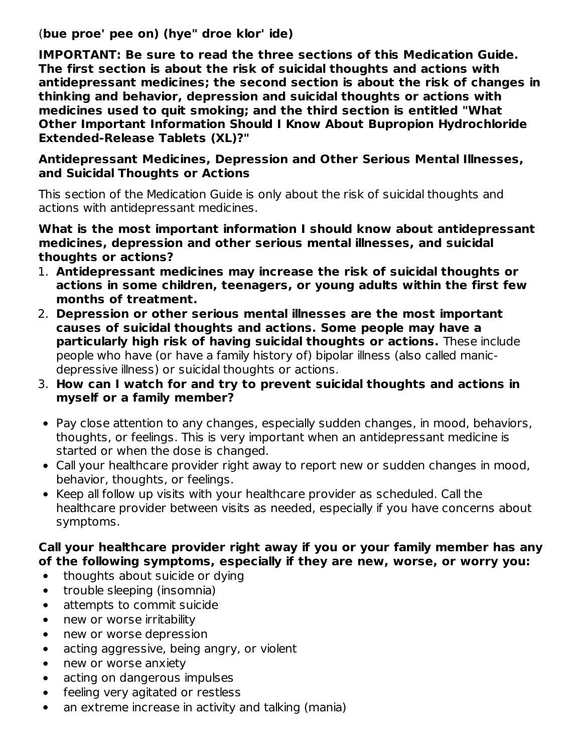(**bue proe' pee on) (hye" droe klor' ide)**

**IMPORTANT: Be sure to read the three sections of this Medication Guide. The first section is about the risk of suicidal thoughts and actions with antidepressant medicines; the second section is about the risk of changes in thinking and behavior, depression and suicidal thoughts or actions with medicines used to quit smoking; and the third section is entitled "What Other Important Information Should I Know About Bupropion Hydrochloride Extended-Release Tablets (XL)?"**

#### **Antidepressant Medicines, Depression and Other Serious Mental Illnesses, and Suicidal Thoughts or Actions**

This section of the Medication Guide is only about the risk of suicidal thoughts and actions with antidepressant medicines.

#### **What is the most important information I should know about antidepressant medicines, depression and other serious mental illnesses, and suicidal thoughts or actions?**

- 1. **Antidepressant medicines may increase the risk of suicidal thoughts or actions in some children, teenagers, or young adults within the first few months of treatment.**
- 2. **Depression or other serious mental illnesses are the most important causes of suicidal thoughts and actions. Some people may have a particularly high risk of having suicidal thoughts or actions.** These include people who have (or have a family history of) bipolar illness (also called manicdepressive illness) or suicidal thoughts or actions.
- 3. **How can I watch for and try to prevent suicidal thoughts and actions in myself or a family member?**
- Pay close attention to any changes, especially sudden changes, in mood, behaviors, thoughts, or feelings. This is very important when an antidepressant medicine is started or when the dose is changed.
- Call your healthcare provider right away to report new or sudden changes in mood, behavior, thoughts, or feelings.
- Keep all follow up visits with your healthcare provider as scheduled. Call the healthcare provider between visits as needed, especially if you have concerns about symptoms.

#### **Call your healthcare provider right away if you or your family member has any of the following symptoms, especially if they are new, worse, or worry you:**

- thoughts about suicide or dying  $\bullet$
- trouble sleeping (insomnia)  $\bullet$
- attempts to commit suicide  $\bullet$
- new or worse irritability  $\bullet$
- new or worse depression  $\bullet$
- acting aggressive, being angry, or violent  $\bullet$
- new or worse anxiety  $\bullet$
- acting on dangerous impulses  $\bullet$
- feeling very agitated or restless  $\bullet$
- an extreme increase in activity and talking (mania) $\bullet$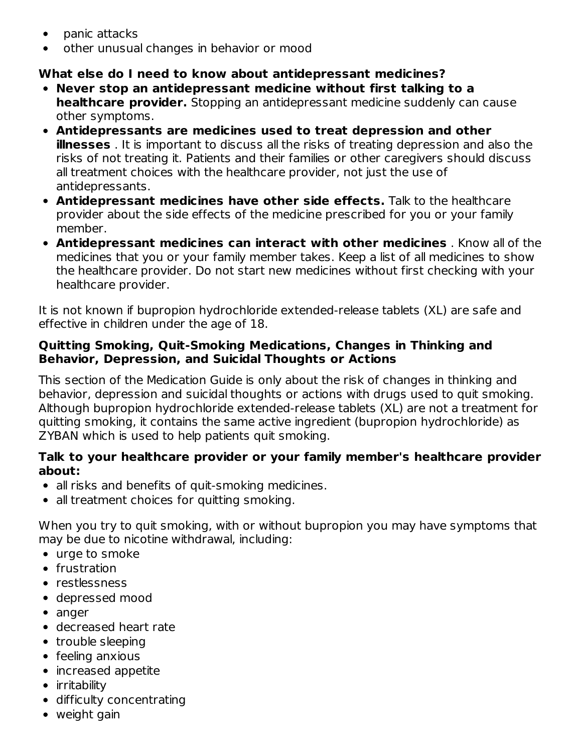- panic attacks  $\bullet$
- other unusual changes in behavior or mood

#### **What else do I need to know about antidepressant medicines?**

- **Never stop an antidepressant medicine without first talking to a healthcare provider.** Stopping an antidepressant medicine suddenly can cause other symptoms.
- **Antidepressants are medicines used to treat depression and other illnesses** . It is important to discuss all the risks of treating depression and also the risks of not treating it. Patients and their families or other caregivers should discuss all treatment choices with the healthcare provider, not just the use of antidepressants.
- **Antidepressant medicines have other side effects.** Talk to the healthcare provider about the side effects of the medicine prescribed for you or your family member.
- **Antidepressant medicines can interact with other medicines** . Know all of the medicines that you or your family member takes. Keep a list of all medicines to show the healthcare provider. Do not start new medicines without first checking with your healthcare provider.

It is not known if bupropion hydrochloride extended-release tablets (XL) are safe and effective in children under the age of 18.

#### **Quitting Smoking, Quit-Smoking Medications, Changes in Thinking and Behavior, Depression, and Suicidal Thoughts or Actions**

This section of the Medication Guide is only about the risk of changes in thinking and behavior, depression and suicidal thoughts or actions with drugs used to quit smoking. Although bupropion hydrochloride extended-release tablets (XL) are not a treatment for quitting smoking, it contains the same active ingredient (bupropion hydrochloride) as ZYBAN which is used to help patients quit smoking.

#### **Talk to your healthcare provider or your family member's healthcare provider about:**

- all risks and benefits of quit-smoking medicines.
- all treatment choices for quitting smoking.

When you try to quit smoking, with or without bupropion you may have symptoms that may be due to nicotine withdrawal, including:

- urge to smoke
- frustration
- restlessness
- depressed mood
- anger
- decreased heart rate
- trouble sleeping
- feeling anxious
- increased appetite
- irritability
- difficulty concentrating
- weight gain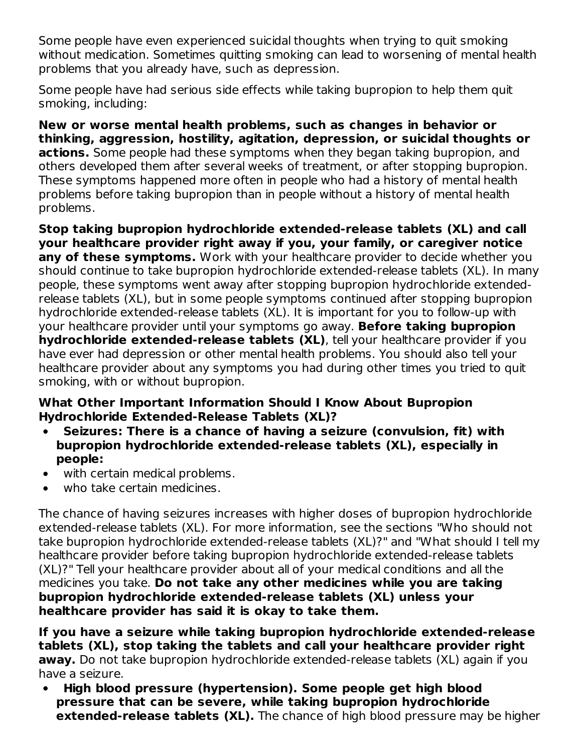Some people have even experienced suicidal thoughts when trying to quit smoking without medication. Sometimes quitting smoking can lead to worsening of mental health problems that you already have, such as depression.

Some people have had serious side effects while taking bupropion to help them quit smoking, including:

**New or worse mental health problems, such as changes in behavior or thinking, aggression, hostility, agitation, depression, or suicidal thoughts or actions.** Some people had these symptoms when they began taking bupropion, and others developed them after several weeks of treatment, or after stopping bupropion. These symptoms happened more often in people who had a history of mental health problems before taking bupropion than in people without a history of mental health problems.

**Stop taking bupropion hydrochloride extended-release tablets (XL) and call your healthcare provider right away if you, your family, or caregiver notice any of these symptoms.** Work with your healthcare provider to decide whether you should continue to take bupropion hydrochloride extended-release tablets (XL). In many people, these symptoms went away after stopping bupropion hydrochloride extendedrelease tablets (XL), but in some people symptoms continued after stopping bupropion hydrochloride extended-release tablets (XL). It is important for you to follow-up with your healthcare provider until your symptoms go away. **Before taking bupropion hydrochloride extended-release tablets (XL)**, tell your healthcare provider if you have ever had depression or other mental health problems. You should also tell your healthcare provider about any symptoms you had during other times you tried to quit smoking, with or without bupropion.

#### **What Other Important Information Should I Know About Bupropion Hydrochloride Extended-Release Tablets (XL)?**

- $\bullet$ **Seizures: There is a chance of having a seizure (convulsion, fit) with bupropion hydrochloride extended-release tablets (XL), especially in people:**
- with certain medical problems.
- who take certain medicines.  $\bullet$

The chance of having seizures increases with higher doses of bupropion hydrochloride extended-release tablets (XL). For more information, see the sections "Who should not take bupropion hydrochloride extended-release tablets (XL)?" and "What should I tell my healthcare provider before taking bupropion hydrochloride extended-release tablets (XL)?" Tell your healthcare provider about all of your medical conditions and all the medicines you take. **Do not take any other medicines while you are taking bupropion hydrochloride extended-release tablets (XL) unless your healthcare provider has said it is okay to take them.**

**If you have a seizure while taking bupropion hydrochloride extended-release tablets (XL), stop taking the tablets and call your healthcare provider right away.** Do not take bupropion hydrochloride extended-release tablets (XL) again if you have a seizure.

**High blood pressure (hypertension). Some people get high blood**  $\bullet$ **pressure that can be severe, while taking bupropion hydrochloride extended-release tablets (XL).** The chance of high blood pressure may be higher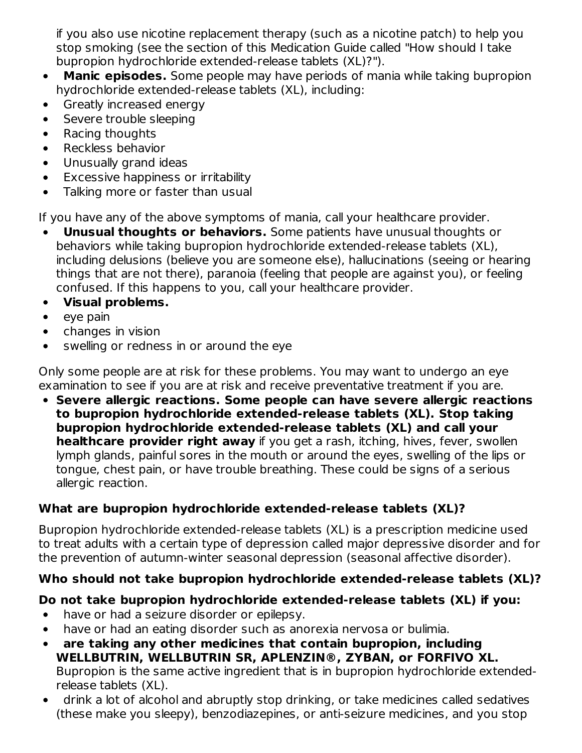if you also use nicotine replacement therapy (such as a nicotine patch) to help you stop smoking (see the section of this Medication Guide called "How should I take bupropion hydrochloride extended-release tablets (XL)?").

- **Manic episodes.** Some people may have periods of mania while taking bupropion  $\bullet$ hydrochloride extended-release tablets (XL), including:
- Greatly increased energy  $\bullet$
- Severe trouble sleeping  $\bullet$
- Racing thoughts  $\bullet$
- Reckless behavior  $\bullet$
- Unusually grand ideas  $\bullet$
- Excessive happiness or irritability  $\bullet$
- Talking more or faster than usual  $\bullet$

If you have any of the above symptoms of mania, call your healthcare provider.

- **Unusual thoughts or behaviors.** Some patients have unusual thoughts or behaviors while taking bupropion hydrochloride extended-release tablets (XL), including delusions (believe you are someone else), hallucinations (seeing or hearing things that are not there), paranoia (feeling that people are against you), or feeling confused. If this happens to you, call your healthcare provider.
- **Visual problems.**
- eye pain  $\bullet$
- changes in vision
- swelling or redness in or around the eye  $\bullet$

Only some people are at risk for these problems. You may want to undergo an eye examination to see if you are at risk and receive preventative treatment if you are.

**Severe allergic reactions. Some people can have severe allergic reactions to bupropion hydrochloride extended-release tablets (XL). Stop taking bupropion hydrochloride extended-release tablets (XL) and call your healthcare provider right away** if you get a rash, itching, hives, fever, swollen lymph glands, painful sores in the mouth or around the eyes, swelling of the lips or tongue, chest pain, or have trouble breathing. These could be signs of a serious allergic reaction.

## **What are bupropion hydrochloride extended-release tablets (XL)?**

Bupropion hydrochloride extended-release tablets (XL) is a prescription medicine used to treat adults with a certain type of depression called major depressive disorder and for the prevention of autumn-winter seasonal depression (seasonal affective disorder).

# **Who should not take bupropion hydrochloride extended-release tablets (XL)?**

## **Do not take bupropion hydrochloride extended-release tablets (XL) if you:**

- have or had a seizure disorder or epilepsy.  $\bullet$
- have or had an eating disorder such as anorexia nervosa or bulimia.  $\bullet$
- **are taking any other medicines that contain bupropion, including**  $\bullet$ **WELLBUTRIN, WELLBUTRIN SR, APLENZIN®, ZYBAN, or FORFIVO XL.** Bupropion is the same active ingredient that is in bupropion hydrochloride extendedrelease tablets (XL).
- drink a lot of alcohol and abruptly stop drinking, or take medicines called sedatives  $\bullet$ (these make you sleepy), benzodiazepines, or anti-seizure medicines, and you stop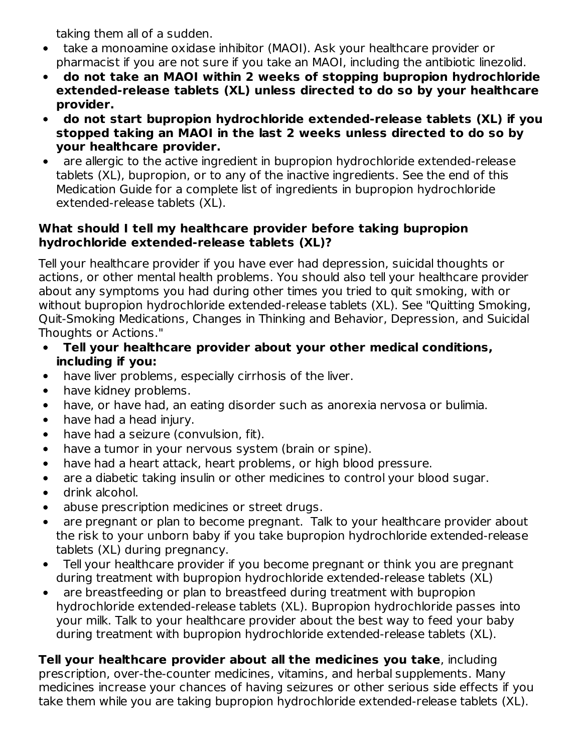taking them all of a sudden.

- take a monoamine oxidase inhibitor (MAOI). Ask your healthcare provider or pharmacist if you are not sure if you take an MAOI, including the antibiotic linezolid.
- **do not take an MAOI within 2 weeks of stopping bupropion hydrochloride**  $\bullet$ **extended-release tablets (XL) unless directed to do so by your healthcare provider.**
- **do not start bupropion hydrochloride extended-release tablets (XL) if you**  $\bullet$ **stopped taking an MAOI in the last 2 weeks unless directed to do so by your healthcare provider.**
- are allergic to the active ingredient in bupropion hydrochloride extended-release tablets (XL), bupropion, or to any of the inactive ingredients. See the end of this Medication Guide for a complete list of ingredients in bupropion hydrochloride extended-release tablets (XL).

### **What should I tell my healthcare provider before taking bupropion hydrochloride extended-release tablets (XL)?**

Tell your healthcare provider if you have ever had depression, suicidal thoughts or actions, or other mental health problems. You should also tell your healthcare provider about any symptoms you had during other times you tried to quit smoking, with or without bupropion hydrochloride extended-release tablets (XL). See "Quitting Smoking, Quit-Smoking Medications, Changes in Thinking and Behavior, Depression, and Suicidal Thoughts or Actions."

- **Tell your healthcare provider about your other medical conditions,**  $\bullet$ **including if you:**
- have liver problems, especially cirrhosis of the liver.  $\bullet$
- have kidney problems.  $\bullet$
- have, or have had, an eating disorder such as anorexia nervosa or bulimia.
- have had a head injury.  $\bullet$
- have had a seizure (convulsion, fit).
- have a tumor in your nervous system (brain or spine).  $\bullet$
- have had a heart attack, heart problems, or high blood pressure.  $\bullet$
- are a diabetic taking insulin or other medicines to control your blood sugar.  $\bullet$
- drink alcohol.  $\bullet$
- abuse prescription medicines or street drugs.  $\bullet$
- are pregnant or plan to become pregnant. Talk to your healthcare provider about the risk to your unborn baby if you take bupropion hydrochloride extended-release tablets (XL) during pregnancy.
- Tell your healthcare provider if you become pregnant or think you are pregnant  $\bullet$ during treatment with bupropion hydrochloride extended-release tablets (XL)
- are breastfeeding or plan to breastfeed during treatment with bupropion  $\bullet$ hydrochloride extended-release tablets (XL). Bupropion hydrochloride passes into your milk. Talk to your healthcare provider about the best way to feed your baby during treatment with bupropion hydrochloride extended-release tablets (XL).

**Tell your healthcare provider about all the medicines you take**, including prescription, over-the-counter medicines, vitamins, and herbal supplements. Many medicines increase your chances of having seizures or other serious side effects if you take them while you are taking bupropion hydrochloride extended-release tablets (XL).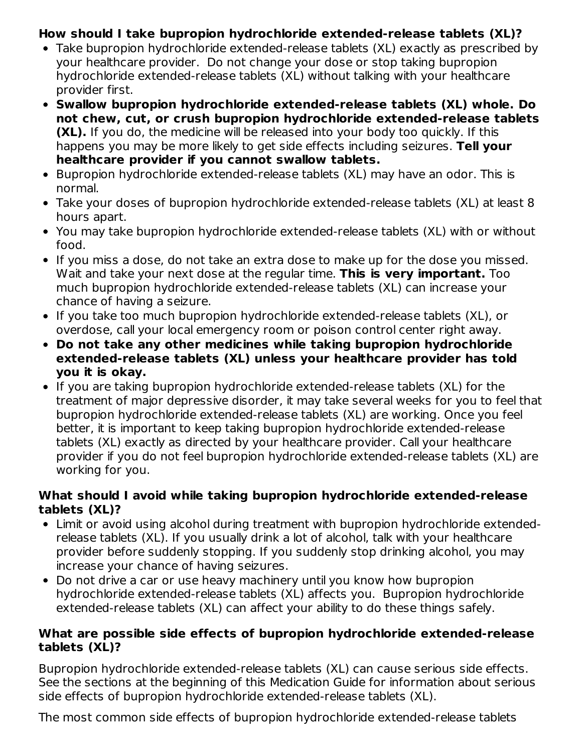### **How should I take bupropion hydrochloride extended-release tablets (XL)?**

- Take bupropion hydrochloride extended-release tablets (XL) exactly as prescribed by your healthcare provider. Do not change your dose or stop taking bupropion hydrochloride extended-release tablets (XL) without talking with your healthcare provider first.
- **Swallow bupropion hydrochloride extended-release tablets (XL) whole. Do not chew, cut, or crush bupropion hydrochloride extended-release tablets (XL).** If you do, the medicine will be released into your body too quickly. If this happens you may be more likely to get side effects including seizures. **Tell your healthcare provider if you cannot swallow tablets.**
- Bupropion hydrochloride extended-release tablets (XL) may have an odor. This is normal.
- Take your doses of bupropion hydrochloride extended-release tablets (XL) at least 8 hours apart.
- You may take bupropion hydrochloride extended-release tablets (XL) with or without food.
- If you miss a dose, do not take an extra dose to make up for the dose you missed. Wait and take your next dose at the regular time. **This is very important.** Too much bupropion hydrochloride extended-release tablets (XL) can increase your chance of having a seizure.
- If you take too much bupropion hydrochloride extended-release tablets (XL), or overdose, call your local emergency room or poison control center right away.
- **Do not take any other medicines while taking bupropion hydrochloride extended-release tablets (XL) unless your healthcare provider has told you it is okay.**
- If you are taking bupropion hydrochloride extended-release tablets (XL) for the treatment of major depressive disorder, it may take several weeks for you to feel that bupropion hydrochloride extended-release tablets (XL) are working. Once you feel better, it is important to keep taking bupropion hydrochloride extended-release tablets (XL) exactly as directed by your healthcare provider. Call your healthcare provider if you do not feel bupropion hydrochloride extended-release tablets (XL) are working for you.

#### **What should I avoid while taking bupropion hydrochloride extended-release tablets (XL)?**

- Limit or avoid using alcohol during treatment with bupropion hydrochloride extendedrelease tablets (XL). If you usually drink a lot of alcohol, talk with your healthcare provider before suddenly stopping. If you suddenly stop drinking alcohol, you may increase your chance of having seizures.
- Do not drive a car or use heavy machinery until you know how bupropion hydrochloride extended-release tablets (XL) affects you. Bupropion hydrochloride extended-release tablets (XL) can affect your ability to do these things safely.

#### **What are possible side effects of bupropion hydrochloride extended-release tablets (XL)?**

Bupropion hydrochloride extended-release tablets (XL) can cause serious side effects. See the sections at the beginning of this Medication Guide for information about serious side effects of bupropion hydrochloride extended-release tablets (XL).

The most common side effects of bupropion hydrochloride extended-release tablets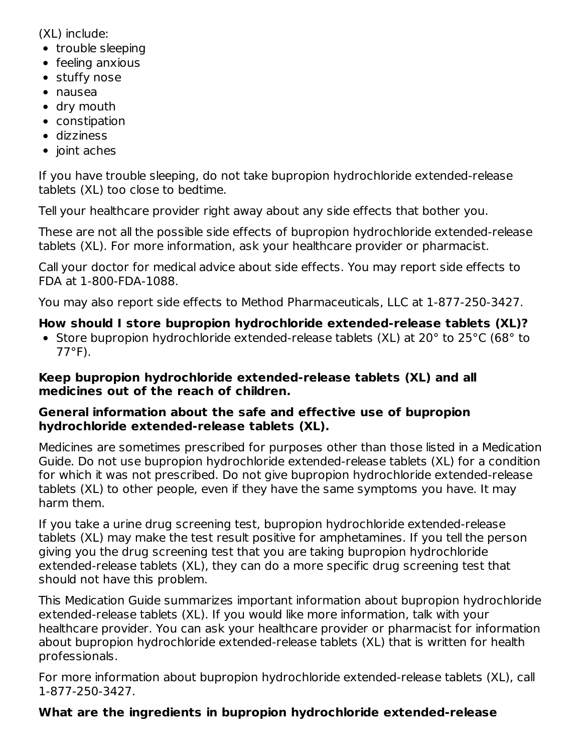(XL) include:

- trouble sleeping
- feeling anxious
- stuffy nose
- nausea
- dry mouth
- constipation
- dizziness
- $\bullet$  joint aches

If you have trouble sleeping, do not take bupropion hydrochloride extended-release tablets (XL) too close to bedtime.

Tell your healthcare provider right away about any side effects that bother you.

These are not all the possible side effects of bupropion hydrochloride extended-release tablets (XL). For more information, ask your healthcare provider or pharmacist.

Call your doctor for medical advice about side effects. You may report side effects to FDA at 1-800-FDA-1088.

You may also report side effects to Method Pharmaceuticals, LLC at 1-877-250-3427.

### **How should I store bupropion hydrochloride extended-release tablets (XL)?**

• Store bupropion hydrochloride extended-release tablets (XL) at 20° to 25°C (68° to 77°F).

#### **Keep bupropion hydrochloride extended-release tablets (XL) and all medicines out of the reach of children.**

### **General information about the safe and effective use of bupropion hydrochloride extended-release tablets (XL).**

Medicines are sometimes prescribed for purposes other than those listed in a Medication Guide. Do not use bupropion hydrochloride extended-release tablets (XL) for a condition for which it was not prescribed. Do not give bupropion hydrochloride extended-release tablets (XL) to other people, even if they have the same symptoms you have. It may harm them.

If you take a urine drug screening test, bupropion hydrochloride extended-release tablets (XL) may make the test result positive for amphetamines. If you tell the person giving you the drug screening test that you are taking bupropion hydrochloride extended-release tablets (XL), they can do a more specific drug screening test that should not have this problem.

This Medication Guide summarizes important information about bupropion hydrochloride extended-release tablets (XL). If you would like more information, talk with your healthcare provider. You can ask your healthcare provider or pharmacist for information about bupropion hydrochloride extended-release tablets (XL) that is written for health professionals.

For more information about bupropion hydrochloride extended-release tablets (XL), call 1-877-250-3427.

## **What are the ingredients in bupropion hydrochloride extended-release**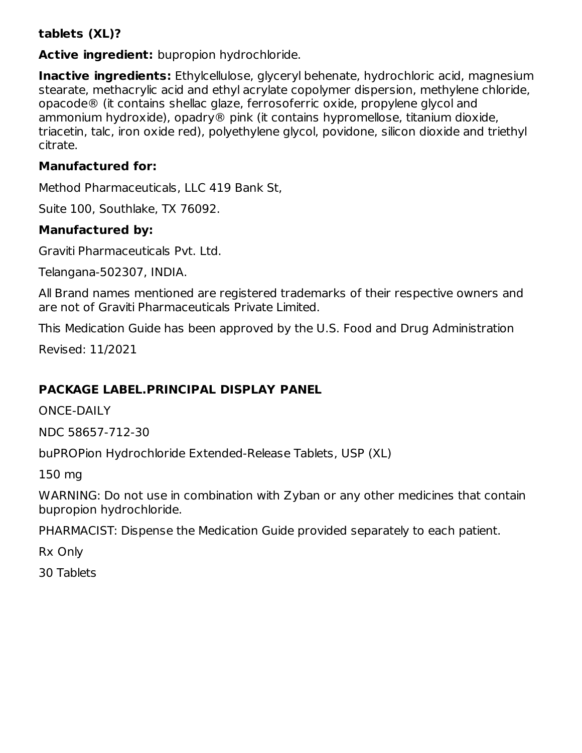### **tablets (XL)?**

**Active ingredient:** bupropion hydrochloride.

**Inactive ingredients:** Ethylcellulose, glyceryl behenate, hydrochloric acid, magnesium stearate, methacrylic acid and ethyl acrylate copolymer dispersion, methylene chloride, opacode® (it contains shellac glaze, ferrosoferric oxide, propylene glycol and ammonium hydroxide), opadry® pink (it contains hypromellose, titanium dioxide, triacetin, talc, iron oxide red), polyethylene glycol, povidone, silicon dioxide and triethyl citrate.

### **Manufactured for:**

Method Pharmaceuticals, LLC 419 Bank St,

Suite 100, Southlake, TX 76092.

### **Manufactured by:**

Graviti Pharmaceuticals Pvt. Ltd.

Telangana-502307, INDIA.

All Brand names mentioned are registered trademarks of their respective owners and are not of Graviti Pharmaceuticals Private Limited.

This Medication Guide has been approved by the U.S. Food and Drug Administration

Revised: 11/2021

## **PACKAGE LABEL.PRINCIPAL DISPLAY PANEL**

ONCE-DAILY

NDC 58657-712-30

buPROPion Hydrochloride Extended-Release Tablets, USP (XL)

150 mg

WARNING: Do not use in combination with Zyban or any other medicines that contain bupropion hydrochloride.

PHARMACIST: Dispense the Medication Guide provided separately to each patient.

Rx Only

30 Tablets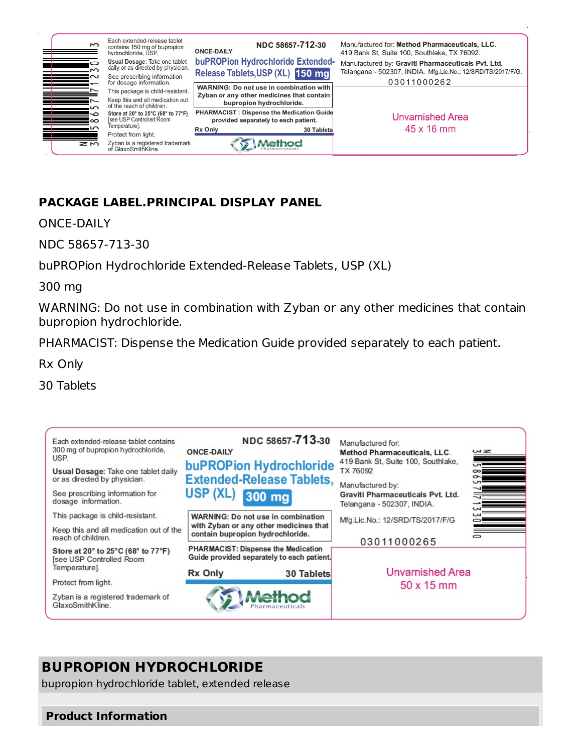

### **PACKAGE LABEL.PRINCIPAL DISPLAY PANEL**

ONCE-DAILY

NDC 58657-713-30

buPROPion Hydrochloride Extended-Release Tablets, USP (XL)

300 mg

WARNING: Do not use in combination with Zyban or any other medicines that contain bupropion hydrochloride.

PHARMACIST: Dispense the Medication Guide provided separately to each patient.

Rx Only

30 Tablets



# **BUPROPION HYDROCHLORIDE**

bupropion hydrochloride tablet, extended release

#### **Product Information**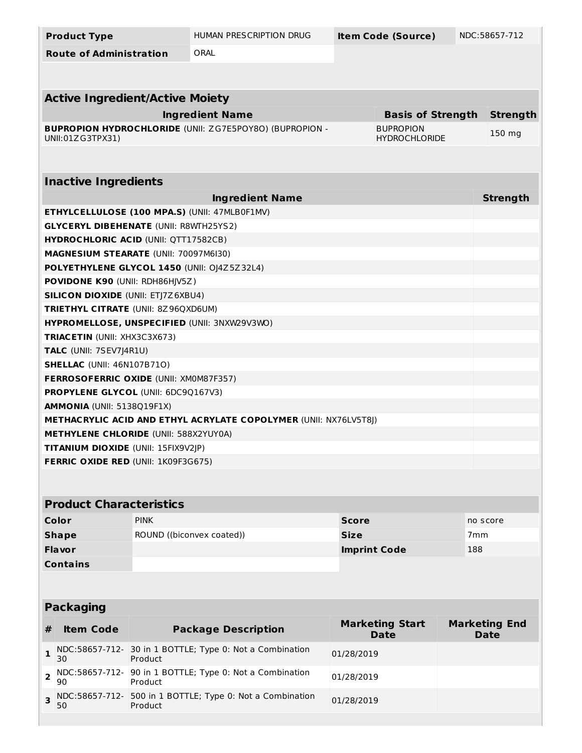| <b>Product Type</b>                                                             | HUMAN PRESCRIPTION DRUG                                          | <b>Item Code (Source)</b> |                          | NDC:58657-712        |  |
|---------------------------------------------------------------------------------|------------------------------------------------------------------|---------------------------|--------------------------|----------------------|--|
| <b>Route of Administration</b>                                                  | ORAL                                                             |                           |                          |                      |  |
|                                                                                 |                                                                  |                           |                          |                      |  |
| <b>Active Ingredient/Active Moiety</b>                                          |                                                                  |                           |                          |                      |  |
|                                                                                 | <b>Ingredient Name</b>                                           |                           | <b>Basis of Strength</b> | <b>Strength</b>      |  |
|                                                                                 | <b>BUPROPION HYDROCHLORIDE (UNII: ZG7E5POY8O) (BUPROPION -</b>   | <b>BUPROPION</b>          |                          |                      |  |
| UNII:01ZG3TPX31)                                                                |                                                                  | <b>HYDROCHLORIDE</b>      |                          | 150 mg               |  |
|                                                                                 |                                                                  |                           |                          |                      |  |
| <b>Inactive Ingredients</b>                                                     |                                                                  |                           |                          |                      |  |
|                                                                                 | <b>Ingredient Name</b>                                           |                           |                          | <b>Strength</b>      |  |
| ETHYLCELLULOSE (100 MPA.S) (UNII: 47MLB0F1MV)                                   |                                                                  |                           |                          |                      |  |
| <b>GLYCERYL DIBEHENATE (UNII: R8WTH25YS2)</b>                                   |                                                                  |                           |                          |                      |  |
| <b>HYDROCHLORIC ACID (UNII: QTT17582CB)</b>                                     |                                                                  |                           |                          |                      |  |
| MAGNESIUM STEARATE (UNII: 70097M6I30)                                           |                                                                  |                           |                          |                      |  |
| POLYETHYLENE GLYCOL 1450 (UNII: 0J4Z5Z32L4)                                     |                                                                  |                           |                          |                      |  |
| POVIDONE K90 (UNII: RDH86HJV5Z)                                                 |                                                                  |                           |                          |                      |  |
| <b>SILICON DIOXIDE (UNII: ETJ7Z6XBU4)</b>                                       |                                                                  |                           |                          |                      |  |
| TRIETHYL CITRATE (UNII: 8Z96QXD6UM)                                             |                                                                  |                           |                          |                      |  |
| HYPROMELLOSE, UNSPECIFIED (UNII: 3NXW29V3WO)                                    |                                                                  |                           |                          |                      |  |
| TRIACETIN (UNII: XHX3C3X673)                                                    |                                                                  |                           |                          |                      |  |
| TALC (UNII: 7SEV7J4R1U)                                                         |                                                                  |                           |                          |                      |  |
| <b>SHELLAC</b> (UNII: 46N107B71O)                                               |                                                                  |                           |                          |                      |  |
| FERROSOFERRIC OXIDE (UNII: XM0M87F357)                                          |                                                                  |                           |                          |                      |  |
| PROPYLENE GLYCOL (UNII: 6DC9Q167V3)                                             |                                                                  |                           |                          |                      |  |
| AMMONIA (UNII: 5138Q19F1X)                                                      |                                                                  |                           |                          |                      |  |
|                                                                                 | METHACRYLIC ACID AND ETHYL ACRYLATE COPOLYMER (UNII: NX76LV5T8 ) |                           |                          |                      |  |
| <b>METHYLENE CHLORIDE (UNII: 588X2YUY0A)</b>                                    |                                                                  |                           |                          |                      |  |
| TITANIUM DIOXIDE (UNII: 15FIX9V2JP)                                             |                                                                  |                           |                          |                      |  |
| <b>FERRIC OXIDE RED (UNII: 1K09F3G675)</b>                                      |                                                                  |                           |                          |                      |  |
|                                                                                 |                                                                  |                           |                          |                      |  |
| <b>Product Characteristics</b>                                                  |                                                                  |                           |                          |                      |  |
|                                                                                 |                                                                  |                           |                          |                      |  |
| <b>PINK</b><br>Color                                                            |                                                                  | <b>Score</b>              |                          | no score             |  |
| <b>Shape</b>                                                                    | ROUND ((biconvex coated))                                        | <b>Size</b>               |                          | 7 <sub>mm</sub>      |  |
| <b>Flavor</b>                                                                   |                                                                  | <b>Imprint Code</b>       | 188                      |                      |  |
| <b>Contains</b>                                                                 |                                                                  |                           |                          |                      |  |
|                                                                                 |                                                                  |                           |                          |                      |  |
| <b>Packaging</b>                                                                |                                                                  |                           |                          |                      |  |
|                                                                                 |                                                                  | <b>Marketing Start</b>    |                          | <b>Marketing End</b> |  |
| <b>Item Code</b><br>#                                                           | <b>Package Description</b>                                       | <b>Date</b>               |                          | <b>Date</b>          |  |
| NDC:58657-712- 30 in 1 BOTTLE; Type 0: Not a Combination<br>1<br>30<br>Product  |                                                                  | 01/28/2019                |                          |                      |  |
| NDC:58657-712-<br>2<br>90<br>Product                                            | 90 in 1 BOTTLE; Type 0: Not a Combination                        | 01/28/2019                |                          |                      |  |
| NDC:58657-712- 500 in 1 BOTTLE; Type 0: Not a Combination<br>3<br>50<br>Product |                                                                  | 01/28/2019                |                          |                      |  |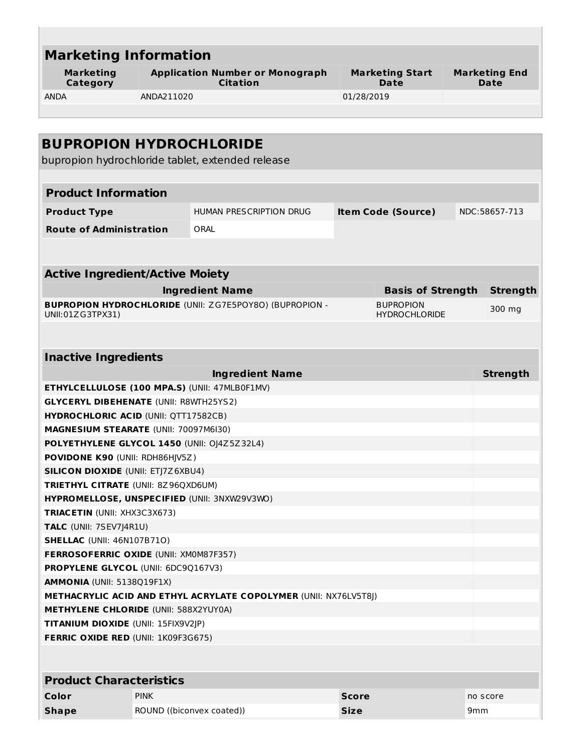| <b>Marketing</b><br>Category                                                    |                                            | <b>Application Number or Monograph</b><br><b>Citation</b>      |            | <b>Marketing Start</b><br>Date           |  | <b>Marketing End</b><br>Date |
|---------------------------------------------------------------------------------|--------------------------------------------|----------------------------------------------------------------|------------|------------------------------------------|--|------------------------------|
| <b>ANDA</b>                                                                     | ANDA211020                                 |                                                                | 01/28/2019 |                                          |  |                              |
|                                                                                 |                                            |                                                                |            |                                          |  |                              |
|                                                                                 |                                            |                                                                |            |                                          |  |                              |
| <b>BUPROPION HYDROCHLORIDE</b>                                                  |                                            |                                                                |            |                                          |  |                              |
|                                                                                 |                                            | bupropion hydrochloride tablet, extended release               |            |                                          |  |                              |
|                                                                                 |                                            |                                                                |            |                                          |  |                              |
| <b>Product Information</b>                                                      |                                            |                                                                |            |                                          |  |                              |
|                                                                                 |                                            | HUMAN PRESCRIPTION DRUG                                        |            |                                          |  | NDC:58657-713                |
| <b>Product Type</b>                                                             |                                            |                                                                |            | <b>Item Code (Source)</b>                |  |                              |
| <b>Route of Administration</b>                                                  |                                            | ORAL                                                           |            |                                          |  |                              |
|                                                                                 |                                            |                                                                |            |                                          |  |                              |
|                                                                                 |                                            |                                                                |            |                                          |  |                              |
| <b>Active Ingredient/Active Moiety</b>                                          |                                            |                                                                |            |                                          |  |                              |
|                                                                                 |                                            | <b>Ingredient Name</b>                                         |            | <b>Basis of Strength</b>                 |  | <b>Strength</b>              |
| UNII:01ZG3TPX31)                                                                |                                            | <b>BUPROPION HYDROCHLORIDE (UNII: ZG7E5POY8O) (BUPROPION -</b> |            | <b>BUPROPION</b><br><b>HYDROCHLORIDE</b> |  | 300 mg                       |
|                                                                                 |                                            |                                                                |            |                                          |  |                              |
|                                                                                 |                                            |                                                                |            |                                          |  |                              |
| <b>Inactive Ingredients</b>                                                     |                                            |                                                                |            |                                          |  |                              |
|                                                                                 |                                            | <b>Ingredient Name</b>                                         |            |                                          |  | <b>Strength</b>              |
| ETHYLCELLULOSE (100 MPA.S) (UNII: 47MLB0F1MV)                                   |                                            |                                                                |            |                                          |  |                              |
| <b>GLYCERYL DIBEHENATE (UNII: R8WTH25YS2)</b>                                   |                                            |                                                                |            |                                          |  |                              |
| <b>HYDROCHLORIC ACID (UNII: QTT17582CB)</b>                                     |                                            |                                                                |            |                                          |  |                              |
| MAGNESIUM STEARATE (UNII: 70097M6I30)                                           |                                            |                                                                |            |                                          |  |                              |
| POLYETHYLENE GLYCOL 1450 (UNII: 0J4Z5Z32L4)                                     |                                            |                                                                |            |                                          |  |                              |
| POVIDONE K90 (UNII: RDH86HJV5Z)                                                 |                                            |                                                                |            |                                          |  |                              |
| <b>SILICON DIOXIDE (UNII: ETJ7Z6XBU4)</b>                                       |                                            |                                                                |            |                                          |  |                              |
| <b>TRIETHYL CITRATE (UNII: 8Z96QXD6UM)</b>                                      |                                            |                                                                |            |                                          |  |                              |
| HYPROMELLOSE, UNSPECIFIED (UNII: 3NXW29V3WO)                                    |                                            |                                                                |            |                                          |  |                              |
| <b>TRIACETIN (UNII: XHX3C3X673)</b>                                             |                                            |                                                                |            |                                          |  |                              |
| TALC (UNII: 7SEV7J4R1U)                                                         |                                            |                                                                |            |                                          |  |                              |
| <b>SHELLAC (UNII: 46N107B710)</b>                                               |                                            |                                                                |            |                                          |  |                              |
| FERROSOFERRIC OXIDE (UNII: XM0M87F357)                                          |                                            |                                                                |            |                                          |  |                              |
| <b>PROPYLENE GLYCOL (UNII: 6DC9Q167V3)</b><br><b>AMMONIA (UNII: 5138Q19F1X)</b> |                                            |                                                                |            |                                          |  |                              |
| <b>METHACRYLIC ACID AND ETHYL ACRYLATE COPOLYMER (UNII: NX76LV5T8J)</b>         |                                            |                                                                |            |                                          |  |                              |
| <b>METHYLENE CHLORIDE (UNII: 588X2YUY0A)</b>                                    |                                            |                                                                |            |                                          |  |                              |
| <b>TITANIUM DIOXIDE (UNII: 15FIX9V2JP)</b>                                      |                                            |                                                                |            |                                          |  |                              |
|                                                                                 | <b>FERRIC OXIDE RED (UNII: 1K09F3G675)</b> |                                                                |            |                                          |  |                              |

| <b>FIVALLE CHAIACLEIBLICS</b> |                           |              |                 |  |
|-------------------------------|---------------------------|--------------|-----------------|--|
| Color                         | PINK                      | <b>Score</b> | no score        |  |
| <b>Shape</b>                  | ROUND ((biconvex coated)) | <b>Size</b>  | 9 <sub>mm</sub> |  |